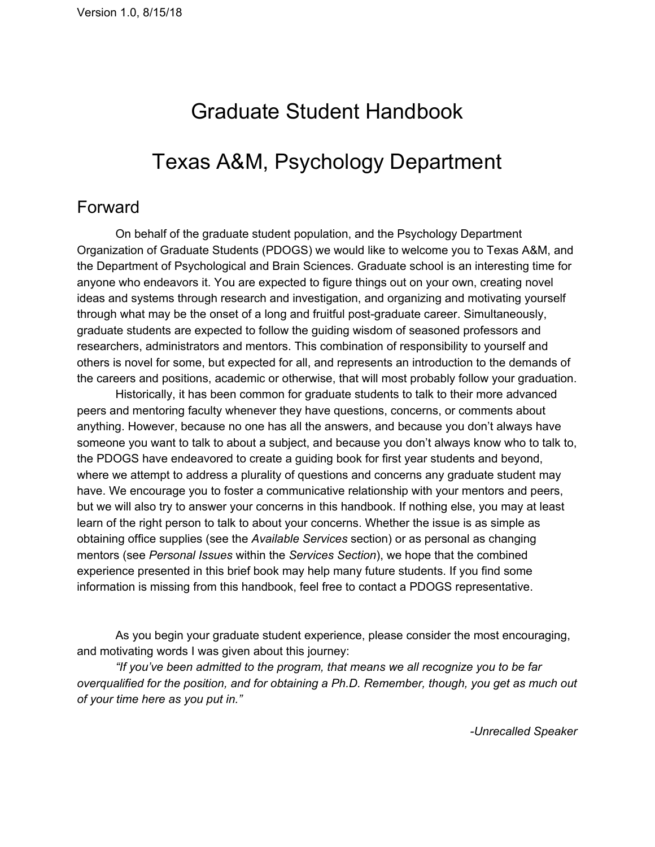# Graduate Student Handbook

# Texas A&M, Psychology Department

## Forward

On behalf of the graduate student population, and the Psychology Department Organization of Graduate Students (PDOGS) we would like to welcome you to Texas A&M, and the Department of Psychological and Brain Sciences. Graduate school is an interesting time for anyone who endeavors it. You are expected to figure things out on your own, creating novel ideas and systems through research and investigation, and organizing and motivating yourself through what may be the onset of a long and fruitful post-graduate career. Simultaneously, graduate students are expected to follow the guiding wisdom of seasoned professors and researchers, administrators and mentors. This combination of responsibility to yourself and others is novel for some, but expected for all, and represents an introduction to the demands of the careers and positions, academic or otherwise, that will most probably follow your graduation.

Historically, it has been common for graduate students to talk to their more advanced peers and mentoring faculty whenever they have questions, concerns, or comments about anything. However, because no one has all the answers, and because you don't always have someone you want to talk to about a subject, and because you don't always know who to talk to, the PDOGS have endeavored to create a guiding book for first year students and beyond, where we attempt to address a plurality of questions and concerns any graduate student may have. We encourage you to foster a communicative relationship with your mentors and peers, but we will also try to answer your concerns in this handbook. If nothing else, you may at least learn of the right person to talk to about your concerns. Whether the issue is as simple as obtaining office supplies (see the *Available Services* section) or as personal as changing mentors (see *Personal Issues* within the *Services Section*), we hope that the combined experience presented in this brief book may help many future students. If you find some information is missing from this handbook, feel free to contact a PDOGS representative.

As you begin your graduate student experience, please consider the most encouraging, and motivating words I was given about this journey:

*"If you've been admitted to the program, that means we all recognize you to be far overqualified for the position, and for obtaining a Ph.D. Remember, though, you get as much out of your time here as you put in."*

*-Unrecalled Speaker*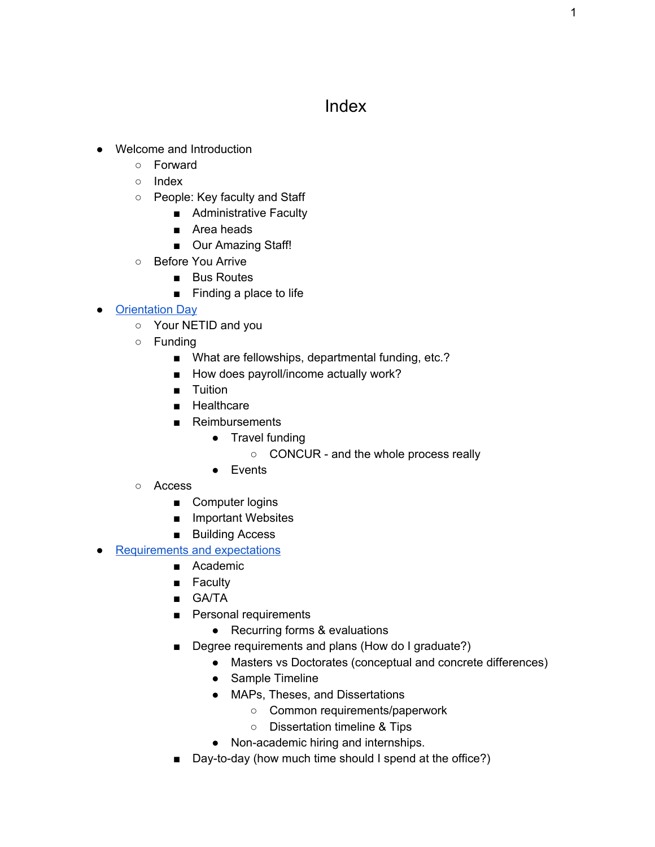# Index

- Welcome and Introduction
	- Forward
	- Index
	- People: Key faculty and Staff
		- Administrative Faculty
		- Area heads
		- Our Amazing Staff!
	- Before You Arrive
		- Bus Routes
		- Finding a place to life

### **[Orientation](#page-8-0) Day**

- Your NETID and you
- Funding
	- What are fellowships, departmental funding, etc.?
	- How does payroll/income actually work?
	- Tuition
	- Healthcare
	- Reimbursements
		- Travel funding
			- CONCUR and the whole process really
		- Events
- Access
	- Computer logins
	- Important Websites
	- Building Access
- **[Requirements](#page-13-0) and expectations** 
	- Academic
	- Faculty
	- GA/TA
	- Personal requirements
		- Recurring forms & evaluations
	- Degree requirements and plans (How do I graduate?)
		- Masters vs Doctorates (conceptual and concrete differences)
		- Sample Timeline
		- MAPs, Theses, and Dissertations
			- Common requirements/paperwork
			- Dissertation timeline & Tips
		- Non-academic hiring and internships.
	- Day-to-day (how much time should I spend at the office?)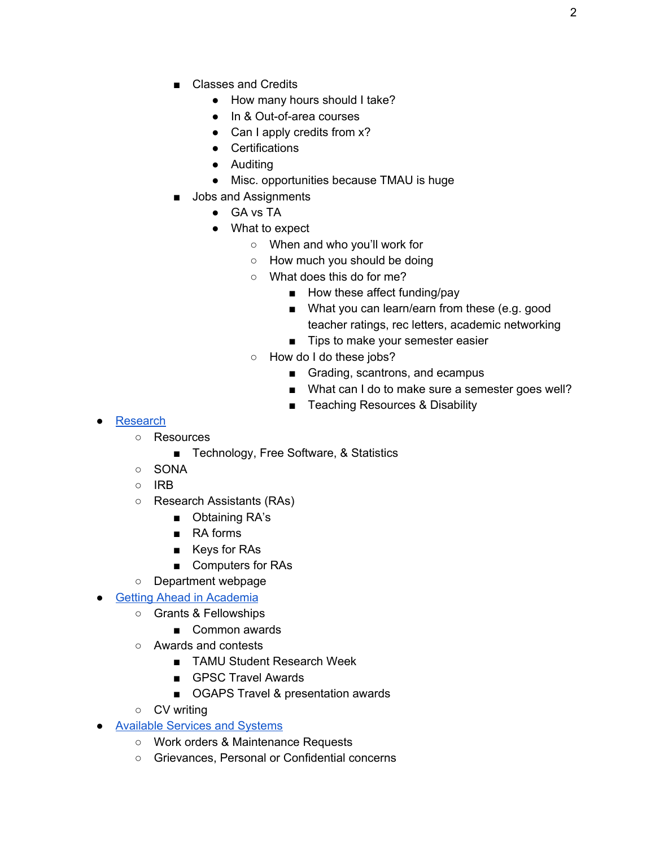- Classes and Credits
	- How many hours should I take?
	- In & Out-of-area courses
	- Can I apply credits from  $x$ ?
	- Certifications
	- Auditing
	- Misc. opportunities because TMAU is huge
- Jobs and Assignments
	- GA vs TA
	- What to expect
		- When and who you'll work for
		- How much you should be doing
		- What does this do for me?
			- How these affect funding/pay
			- What you can learn/earn from these (e.g. good teacher ratings, rec letters, academic networking
			- Tips to make your semester easier
		- How do I do these jobs?
			- Grading, scantrons, and ecampus
			- What can I do to make sure a semester goes well?
			- Teaching Resources & Disability

- [Research](#page-20-0)
	- Resources
		- Technology, Free Software, & Statistics
	- SONA
	- IRB
	- Research Assistants (RAs)
		- Obtaining RA's
		- RA forms
		- Keys for RAs
		- Computers for RAs
	- Department webpage
- Getting Ahead in [Academia](#page-23-0)
	- Grants & Fellowships
		- Common awards
	- Awards and contests
		- TAMU Student Research Week
		- GPSC Travel Awards
		- OGAPS Travel & presentation awards
	- CV writing
- [Available](#page-27-0) Services and Systems
	- Work orders & Maintenance Requests
	- Grievances, Personal or Confidential concerns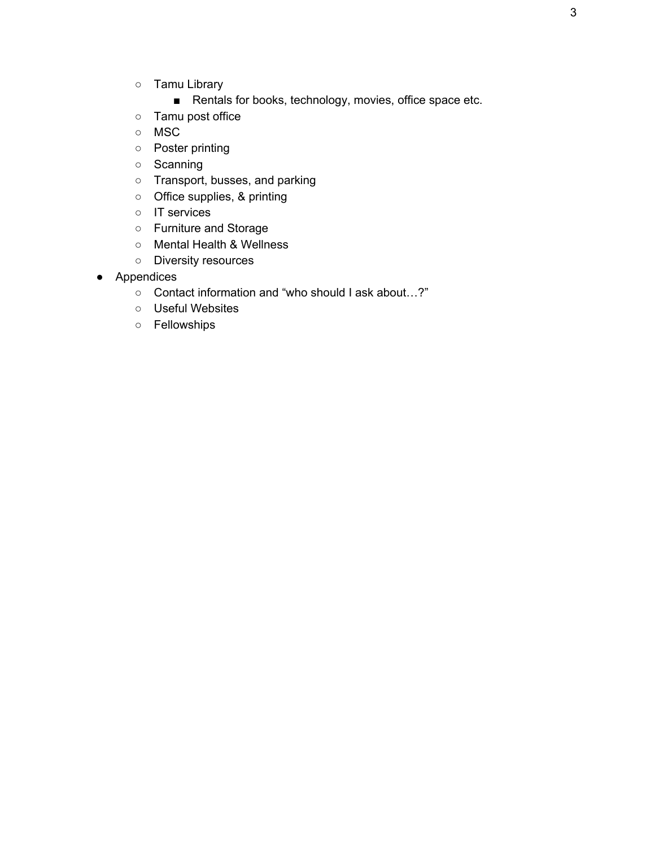- Tamu Library
	- Rentals for books, technology, movies, office space etc.
- Tamu post office
- MSC
- Poster printing
- Scanning
- Transport, busses, and parking
- Office supplies, & printing
- IT services
- Furniture and Storage
- Mental Health & Wellness
- Diversity resources
- Appendices
	- Contact information and "who should I ask about…?"
	- Useful Websites
	- Fellowships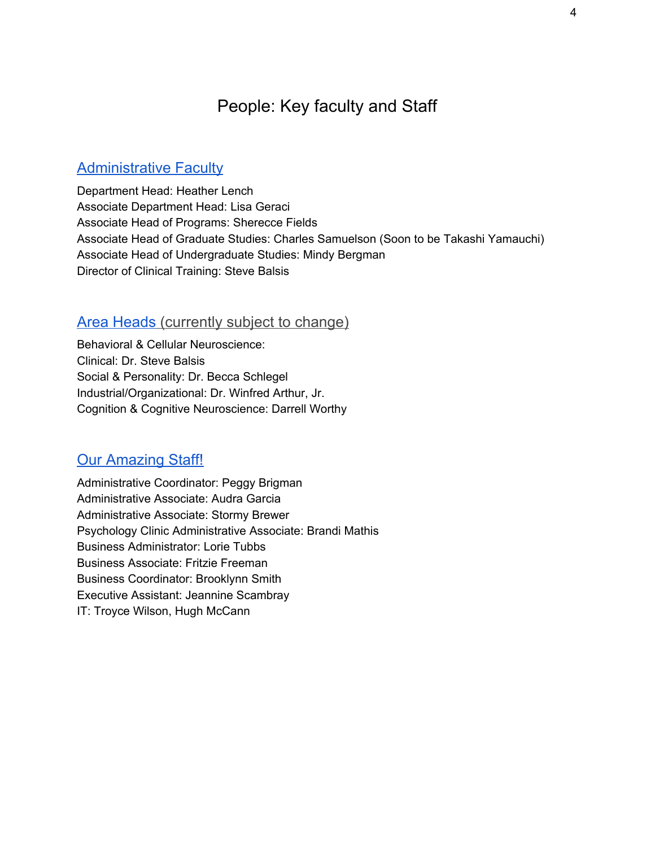# People: Key faculty and Staff

### **[Administrative](https://psychology.tamu.edu/faculty/) Faculty**

Department Head: Heather Lench Associate Department Head: Lisa Geraci Associate Head of Programs: Sherecce Fields Associate Head of Graduate Studies: Charles Samuelson (Soon to be Takashi Yamauchi) Associate Head of Undergraduate Studies: Mindy Bergman Director of Clinical Training: Steve Balsis

### Area [Heads](https://psychology.tamu.edu/faculty/) (currently subject to change)

Behavioral & Cellular Neuroscience: Clinical: Dr. Steve Balsis Social & Personality: Dr. Becca Schlegel Industrial/Organizational: Dr. Winfred Arthur, Jr. Cognition & Cognitive Neuroscience: Darrell Worthy

## **Our [Amazing](https://psychology.tamu.edu/staff/) Staff!**

Administrative Coordinator: Peggy Brigman Administrative Associate: Audra Garcia Administrative Associate: Stormy Brewer Psychology Clinic Administrative Associate: Brandi Mathis Business Administrator: Lorie Tubbs Business Associate: Fritzie Freeman Business Coordinator: Brooklynn Smith Executive Assistant: Jeannine Scambray IT: Troyce Wilson, Hugh McCann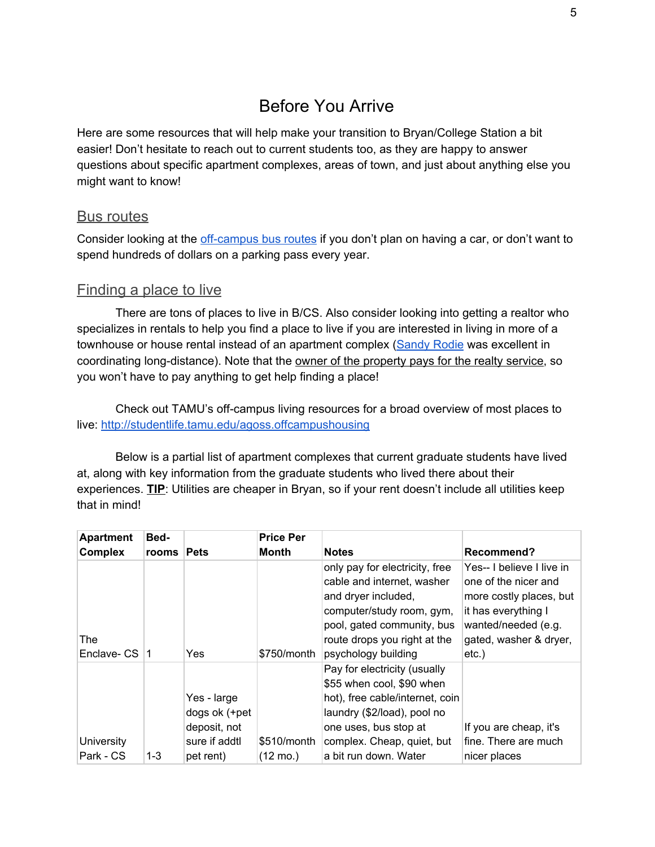# Before You Arrive

Here are some resources that will help make your transition to Bryan/College Station a bit easier! Don't hesitate to reach out to current students too, as they are happy to answer questions about specific apartment complexes, areas of town, and just about anything else you might want to know!

### Bus routes

Consider looking at the [off-campus](http://transport.tamu.edu/BusRoutes/Routes.aspx?r=OffCampus) bus routes if you don't plan on having a car, or don't want to spend hundreds of dollars on a parking pass every year.

### Finding a place to live

There are tons of places to live in B/CS. Also consider looking into getting a realtor who specializes in rentals to help you find a place to live if you are interested in living in more of a townhouse or house rental instead of an apartment complex [\(Sandy](https://homeasap.com/sandyrodie/agent) Rodie was excellent in coordinating long-distance). Note that the owner of the property pays for the realty service, so you won't have to pay anything to get help finding a place!

Check out TAMU's off-campus living resources for a broad overview of most places to live: <http://studentlife.tamu.edu/agoss.offcampushousing>

Below is a partial list of apartment complexes that current graduate students have lived at, along with key information from the graduate students who lived there about their experiences. **TIP**: Utilities are cheaper in Bryan, so if your rent doesn't include all utilities keep that in mind!

| <b>Apartment</b><br><b>Complex</b> | Bed-<br>rooms | <b>Pets</b>                                                                | <b>Price Per</b><br>Month         | <b>Notes</b>                                                                                                                                                                                                | Recommend?                                                                                                                                                       |
|------------------------------------|---------------|----------------------------------------------------------------------------|-----------------------------------|-------------------------------------------------------------------------------------------------------------------------------------------------------------------------------------------------------------|------------------------------------------------------------------------------------------------------------------------------------------------------------------|
| The<br>Enclave- CS   1             |               | Yes                                                                        | \$750/month                       | only pay for electricity, free<br>cable and internet, washer<br>and dryer included,<br>computer/study room, gym,<br>pool, gated community, bus<br>route drops you right at the<br>psychology building       | Yes-- I believe I live in<br>one of the nicer and<br>more costly places, but<br>it has everything I<br>wanted/needed (e.g.<br>gated, washer & dryer,<br>$etc.$ ) |
| University<br>Park - CS            | 1-3           | Yes - large<br>dogs ok (+pet<br>deposit, not<br>sure if addtl<br>pet rent) | \$510/month<br>$(12 \text{ mo.})$ | Pay for electricity (usually<br>\$55 when cool, \$90 when<br>hot), free cable/internet, coin<br>laundry (\$2/load), pool no<br>one uses, bus stop at<br>complex. Cheap, quiet, but<br>a bit run down. Water | If you are cheap, it's<br>fine. There are much<br>nicer places                                                                                                   |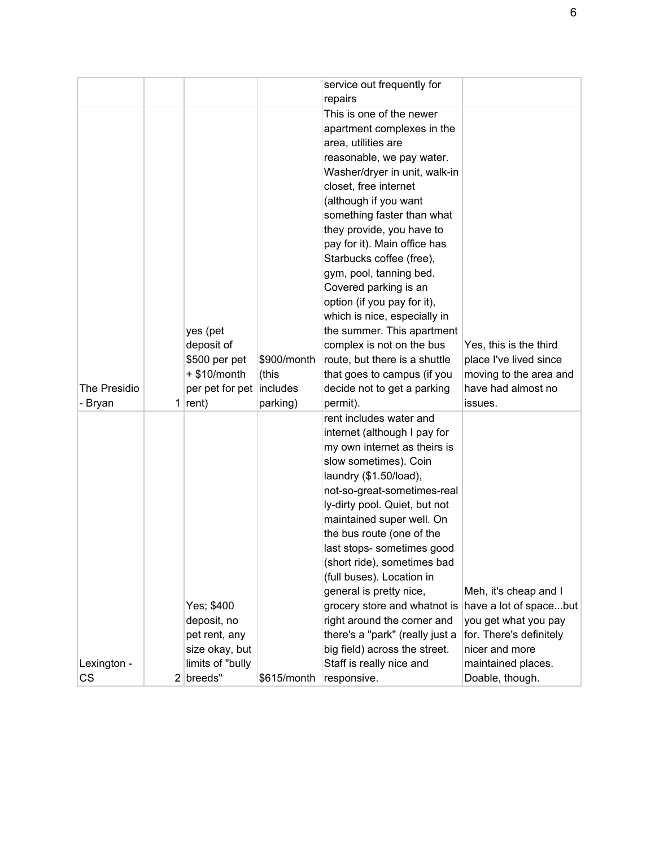|              |                          |             | service out frequently for      |                         |
|--------------|--------------------------|-------------|---------------------------------|-------------------------|
|              |                          |             | repairs                         |                         |
|              |                          |             | This is one of the newer        |                         |
|              |                          |             | apartment complexes in the      |                         |
|              |                          |             | area, utilities are             |                         |
|              |                          |             | reasonable, we pay water.       |                         |
|              |                          |             | Washer/dryer in unit, walk-in   |                         |
|              |                          |             | closet, free internet           |                         |
|              |                          |             | (although if you want           |                         |
|              |                          |             | something faster than what      |                         |
|              |                          |             | they provide, you have to       |                         |
|              |                          |             | pay for it). Main office has    |                         |
|              |                          |             | Starbucks coffee (free),        |                         |
|              |                          |             | gym, pool, tanning bed.         |                         |
|              |                          |             | Covered parking is an           |                         |
|              |                          |             | option (if you pay for it),     |                         |
|              |                          |             | which is nice, especially in    |                         |
|              | yes (pet                 |             | the summer. This apartment      |                         |
|              | deposit of               |             | complex is not on the bus       | Yes, this is the third  |
|              | \$500 per pet            | \$900/month | route, but there is a shuttle   | place I've lived since  |
|              | $+$ \$10/month           | (this       | that goes to campus (if you     | moving to the area and  |
| The Presidio | per pet for pet includes |             | decide not to get a parking     | have had almost no      |
| - Bryan      | 1 $ rent$ )              | parking)    | permit).                        | issues.                 |
|              |                          |             | rent includes water and         |                         |
|              |                          |             | internet (although I pay for    |                         |
|              |                          |             | my own internet as theirs is    |                         |
|              |                          |             | slow sometimes). Coin           |                         |
|              |                          |             | laundry (\$1.50/load),          |                         |
|              |                          |             | not-so-great-sometimes-real     |                         |
|              |                          |             | ly-dirty pool. Quiet, but not   |                         |
|              |                          |             | maintained super well. On       |                         |
|              |                          |             | the bus route (one of the       |                         |
|              |                          |             | last stops- sometimes good      |                         |
|              |                          |             | (short ride), sometimes bad     |                         |
|              |                          |             | (full buses). Location in       |                         |
|              |                          |             | general is pretty nice,         | Meh, it's cheap and I   |
|              | Yes; \$400               |             | grocery store and whatnot is    | have a lot of spacebut  |
|              | deposit, no              |             | right around the corner and     | you get what you pay    |
|              | pet rent, any            |             | there's a "park" (really just a | for. There's definitely |
|              | size okay, but           |             | big field) across the street.   | nicer and more          |
| Lexington -  | limits of "bully         |             | Staff is really nice and        | maintained places.      |
| <b>CS</b>    | 2 breeds"                | \$615/month | responsive.                     | Doable, though.         |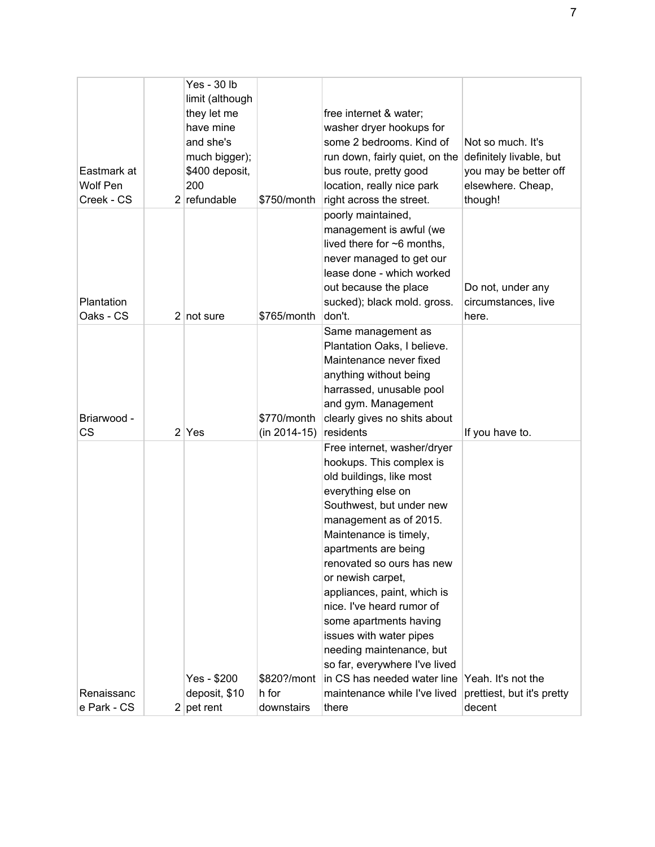| Eastmark at<br><b>Wolf Pen</b><br>Creek - CS | Yes - 30 lb<br>limit (although<br>they let me<br>have mine<br>and she's<br>much bigger);<br>\$400 deposit,<br>200<br>$2$ refundable | \$750/month                        | free internet & water;<br>washer dryer hookups for<br>some 2 bedrooms. Kind of<br>run down, fairly quiet, on the<br>bus route, pretty good<br>location, really nice park<br>right across the street.                                                                                                                                                                                                                                                                                                                      | Not so much. It's<br>definitely livable, but<br>you may be better off<br>elsewhere. Cheap,<br>though! |
|----------------------------------------------|-------------------------------------------------------------------------------------------------------------------------------------|------------------------------------|---------------------------------------------------------------------------------------------------------------------------------------------------------------------------------------------------------------------------------------------------------------------------------------------------------------------------------------------------------------------------------------------------------------------------------------------------------------------------------------------------------------------------|-------------------------------------------------------------------------------------------------------|
| Plantation<br>Oaks - CS                      | $2$ not sure                                                                                                                        | \$765/month                        | poorly maintained,<br>management is awful (we<br>lived there for $\sim$ 6 months,<br>never managed to get our<br>lease done - which worked<br>out because the place<br>sucked); black mold. gross.<br>don't.                                                                                                                                                                                                                                                                                                              | Do not, under any<br>circumstances, live<br>here.                                                     |
| Briarwood -<br><b>CS</b>                     | $2$ Yes                                                                                                                             | \$770/month<br>$(in 2014-15)$      | Same management as<br>Plantation Oaks, I believe.<br>Maintenance never fixed<br>anything without being<br>harrassed, unusable pool<br>and gym. Management<br>clearly gives no shits about<br>residents                                                                                                                                                                                                                                                                                                                    | If you have to.                                                                                       |
| Renaissanc<br>e Park - CS                    | Yes - \$200<br>deposit, \$10<br>$2$ pet rent                                                                                        | \$820?/mont<br>h for<br>downstairs | Free internet, washer/dryer<br>hookups. This complex is<br>old buildings, like most<br>everything else on<br>Southwest, but under new<br>management as of 2015.<br>Maintenance is timely,<br>apartments are being<br>renovated so ours has new<br>or newish carpet,<br>appliances, paint, which is<br>nice. I've heard rumor of<br>some apartments having<br>issues with water pipes<br>needing maintenance, but<br>so far, everywhere I've lived<br>in CS has needed water line<br>maintenance while I've lived<br>there | Yeah. It's not the<br>prettiest, but it's pretty<br>decent                                            |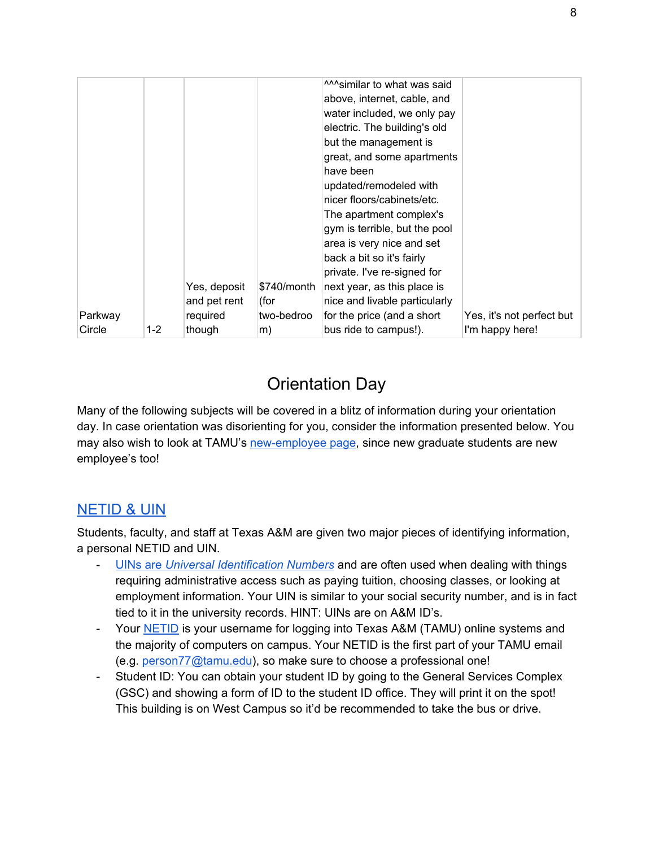| Parkway |       | Yes, deposit<br>and pet rent<br>required | \$740/month<br>(for<br>two-bedroo | <sup>AAA</sup> similar to what was said<br>above, internet, cable, and<br>water included, we only pay<br>electric. The building's old<br>but the management is<br>great, and some apartments<br>have been<br>updated/remodeled with<br>nicer floors/cabinets/etc.<br>The apartment complex's<br>gym is terrible, but the pool<br>area is very nice and set<br>back a bit so it's fairly<br>private. I've re-signed for<br>next year, as this place is<br>nice and livable particularly<br>for the price (and a short | Yes, it's not perfect but |
|---------|-------|------------------------------------------|-----------------------------------|----------------------------------------------------------------------------------------------------------------------------------------------------------------------------------------------------------------------------------------------------------------------------------------------------------------------------------------------------------------------------------------------------------------------------------------------------------------------------------------------------------------------|---------------------------|
| Circle  | $1-2$ | though                                   | m)                                | bus ride to campus!).                                                                                                                                                                                                                                                                                                                                                                                                                                                                                                | I'm happy here!           |

# Orientation Day

<span id="page-8-0"></span>Many of the following subjects will be covered in a blitz of information during your orientation day. In case orientation was disorienting for you, consider the information presented below. You may also wish to look at TAMU's [new-employee](https://employees.tamu.edu/employees/onboarding/) page, since new graduate students are new employee's too!

# [NETID](http://it.tamu.edu/Accounts_and_ID_Management/UIN_NetID_and_Passwords/index.php) & UIN

Students, faculty, and staff at Texas A&M are given two major pieces of identifying information, a personal NETID and UIN.

- [UINs](https://registrar.tamu.edu/Our-Services/UIN-Retrieval) are *Universal [Identification](https://registrar.tamu.edu/Our-Services/UIN-Retrieval) Numbers* and are often used when dealing with things requiring administrative access such as paying tuition, choosing classes, or looking at employment information. Your UIN is similar to your social security number, and is in fact tied to it in the university records. HINT: UINs are on A&M ID's.
- Your **[NETID](http://it.tamu.edu/Accounts_and_ID_Management/UIN_NetID_and_Passwords/NetID/index.php)** is your username for logging into Texas A&M (TAMU) online systems and the majority of computers on campus. Your NETID is the first part of your TAMU email (e.g. [person77@tamu.edu\)](mailto:person77@tamu.edu), so make sure to choose a professional one!
- Student ID: You can obtain your student ID by going to the General Services Complex (GSC) and showing a form of ID to the student ID office. They will print it on the spot! This building is on West Campus so it'd be recommended to take the bus or drive.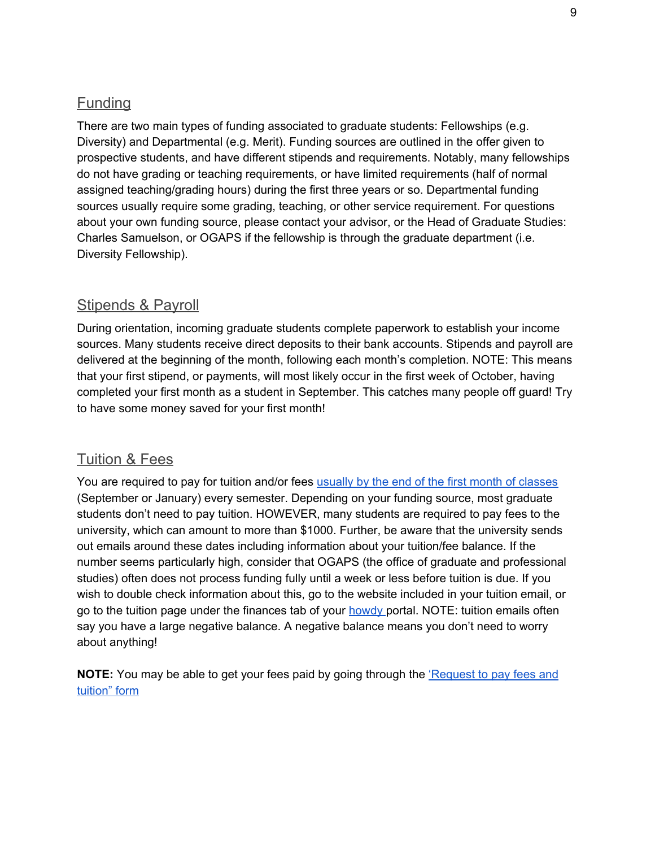# Funding

There are two main types of funding associated to graduate students: Fellowships (e.g. Diversity) and Departmental (e.g. Merit). Funding sources are outlined in the offer given to prospective students, and have different stipends and requirements. Notably, many fellowships do not have grading or teaching requirements, or have limited requirements (half of normal assigned teaching/grading hours) during the first three years or so. Departmental funding sources usually require some grading, teaching, or other service requirement. For questions about your own funding source, please contact your advisor, or the Head of Graduate Studies: Charles Samuelson, or OGAPS if the fellowship is through the graduate department (i.e. Diversity Fellowship).

## Stipends & Payroll

During orientation, incoming graduate students complete paperwork to establish your income sources. Many students receive direct deposits to their bank accounts. Stipends and payroll are delivered at the beginning of the month, following each month's completion. NOTE: This means that your first stipend, or payments, will most likely occur in the first week of October, having completed your first month as a student in September. This catches many people off guard! Try to have some money saved for your first month!

### Tuition & Fees

You are required to pay for tuition and/or fees usually by the end of the first month of [classes](https://sbs.tamu.edu/resources/important-dates/) (September or January) every semester. Depending on your funding source, most graduate students don't need to pay tuition. HOWEVER, many students are required to pay fees to the university, which can amount to more than \$1000. Further, be aware that the university sends out emails around these dates including information about your tuition/fee balance. If the number seems particularly high, consider that OGAPS (the office of graduate and professional studies) often does not process funding fully until a week or less before tuition is due. If you wish to double check information about this, go to the website included in your tuition email, or go to the tuition page under the finances tab of your [howdy](https://howdy.tamu.edu/uPortal/normal/render.uP) portal. NOTE: tuition emails often say you have a large negative balance. A negative balance means you don't need to worry about anything!

**NOTE:** You may be able to get your fees paid by going through the ['Request](https://liberalarts.tamu.edu/psychology/phd/forms/) to pay fees and [tuition"](https://liberalarts.tamu.edu/psychology/phd/forms/) form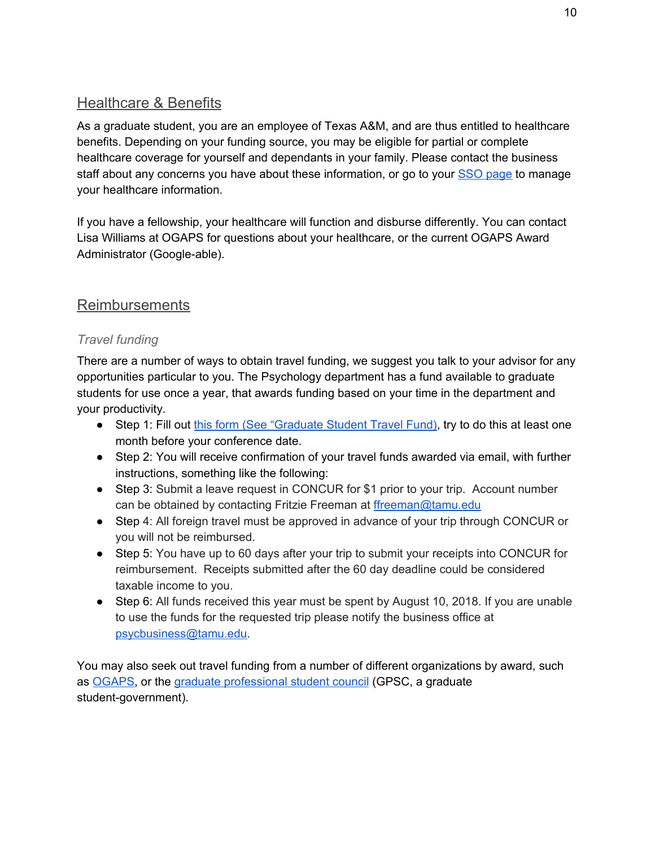# Healthcare & Benefits

As a graduate student, you are an employee of Texas A&M, and are thus entitled to healthcare benefits. Depending on your funding source, you may be eligible for partial or complete healthcare coverage for yourself and dependants in your family. Please contact the business staff about any concerns you have about these information, or go to your SSO [page](https://sso.tamus.edu/Logon.aspx?entityID=https%3A%2F%2Fsso.tamus.edu%2Fshibboleth&return=https%3A%2F%2Fsso.tamus.edu%2FShibboleth.sso%2FDS%3FSAMLDS%3D1%26target%3Dcookie%253A1520804510_b562) to manage your healthcare information.

If you have a fellowship, your healthcare will function and disburse differently. You can contact Lisa Williams at OGAPS for questions about your healthcare, or the current OGAPS Award Administrator (Google-able).

## Reimbursements

### *Travel funding*

There are a number of ways to obtain travel funding, we suggest you talk to your advisor for any opportunities particular to you. The Psychology department has a fund available to graduate students for use once a year, that awards funding based on your time in the department and your productivity.

- Step 1: Fill out this form (See ["Graduate](https://liberalarts.tamu.edu/psychology/phd/forms/) Student Travel Fund), try to do this at least one month before your conference date.
- Step 2: You will receive confirmation of your travel funds awarded via email, with further instructions, something like the following:
- Step 3: Submit a leave request in CONCUR for \$1 prior to your trip. Account number can be obtained by contacting Fritzie Freeman at [ffreeman@tamu.edu](mailto:ffreeman@tamu.edu)
- Step 4: All foreign travel must be approved in advance of your trip through CONCUR or you will not be reimbursed.
- Step 5: You have up to 60 days after your trip to submit your receipts into CONCUR for reimbursement. Receipts submitted after the 60 day deadline could be considered taxable income to you.
- Step 6: All funds received this year must be spent by August 10, 2018. If you are unable to use the funds for the requested trip please notify the business office at [psycbusiness@tamu.edu.](mailto:psycbusinss@tamu.edu)

You may also seek out travel funding from a number of different organizations by award, such as [OGAPS,](http://ogaps.tamu.edu/Buttons/Funding-Opportunities/Research-and-Presentation-Grant-Guidelines) or the graduate [professional](http://gpsc.tamu.edu/accessibility/awards-scholarships/travel-award/application/) student council (GPSC, a graduate student-government).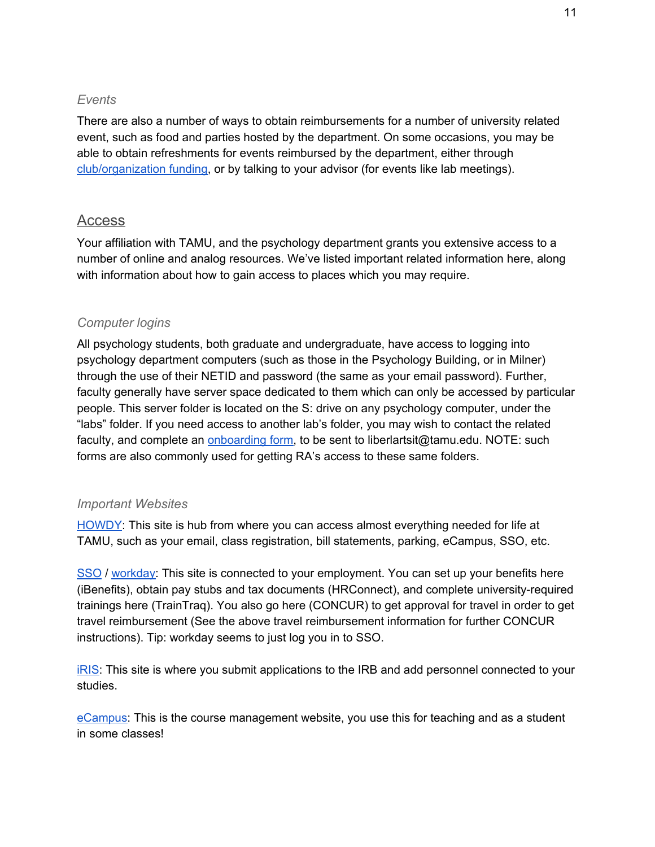#### *Events*

There are also a number of ways to obtain reimbursements for a number of university related event, such as food and parties hosted by the department. On some occasions, you may be able to obtain refreshments for events reimbursed by the department, either through [club/organization](http://studentactivities.tamu.edu/manage-your-organization/funding-banking/student-organization-funding-assistance-board/) funding, or by talking to your advisor (for events like lab meetings).

### Access

Your affiliation with TAMU, and the psychology department grants you extensive access to a number of online and analog resources. We've listed important related information here, along with information about how to gain access to places which you may require.

#### *Computer logins*

All psychology students, both graduate and undergraduate, have access to logging into psychology department computers (such as those in the Psychology Building, or in Milner) through the use of their NETID and password (the same as your email password). Further, faculty generally have server space dedicated to them which can only be accessed by particular people. This server folder is located on the S: drive on any psychology computer, under the "labs" folder. If you need access to another lab's folder, you may wish to contact the related faculty, and complete an [onboarding](https://drive.google.com/file/d/0Bx1PVniQPSEiSXNpa0xfaEE3SHhudnhzankwTnZhZXB0Y1Bj/view?usp=sharing) form, to be sent to liberlartsit@tamu.edu. NOTE: such forms are also commonly used for getting RA's access to these same folders.

#### *Important Websites*

[HOWDY](https://howdy.tamu.edu/): This site is hub from where you can access almost everything needed for life at TAMU, such as your email, class registration, bill statements, parking, eCampus, SSO, etc.

[SSO](https://sso.tamus.edu/) / [workday:](https://employees.tamu.edu/workday) This site is connected to your employment. You can set up your benefits here (iBenefits), obtain pay stubs and tax documents (HRConnect), and complete university-required trainings here (TrainTraq). You also go here (CONCUR) to get approval for travel in order to get travel reimbursement (See the above travel reimbursement information for further CONCUR instructions). Tip: workday seems to just log you in to SSO.

[iRIS:](https://iris.tamu.edu/) This site is where you submit applications to the IRB and add personnel connected to your studies.

[eCampus](http://ecampus.tamu.edu/): This is the course management website, you use this for teaching and as a student in some classes!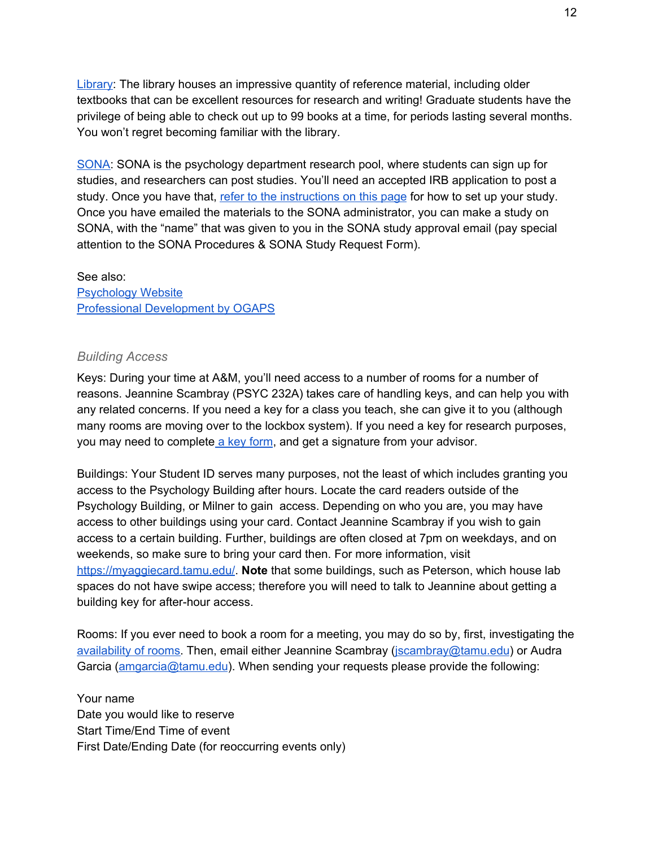[Library:](http://library.tamu.edu/) The library houses an impressive quantity of reference material, including older textbooks that can be excellent resources for research and writing! Graduate students have the privilege of being able to check out up to 99 books at a time, for periods lasting several months. You won't regret becoming familiar with the library.

[SONA:](https://tamupsychology.sona-systems.com/Default.aspx?ReturnUrl=%2f) SONA is the psychology department research pool, where students can sign up for studies, and researchers can post studies. You'll need an accepted IRB application to post a study. Once you have that, refer to the [instructions](https://liberalarts.tamu.edu/psychology/undergraduate/ugparticipate/) on this page for how to set up your study. Once you have emailed the materials to the SONA administrator, you can make a study on SONA, with the "name" that was given to you in the SONA study approval email (pay special attention to the SONA Procedures & SONA Study Request Form).

See also: [Psychology](https://liberalarts.tamu.edu/psychology/) Website Professional [Development](http://ogaps.tamu.edu/Buttons/Professional-Development-Opportunities) by OGAPS

#### *Building Access*

Keys: During your time at A&M, you'll need access to a number of rooms for a number of reasons. Jeannine Scambray (PSYC 232A) takes care of handling keys, and can help you with any related concerns. If you need a key for a class you teach, she can give it to you (although many rooms are moving over to the lockbox system). If you need a key for research purposes, you may need to complete a key [form](https://psychology.tamu.edu/resources-for-faculty/), and get a signature from your advisor.

Buildings: Your Student ID serves many purposes, not the least of which includes granting you access to the Psychology Building after hours. Locate the card readers outside of the Psychology Building, or Milner to gain access. Depending on who you are, you may have access to other buildings using your card. Contact Jeannine Scambray if you wish to gain access to a certain building. Further, buildings are often closed at 7pm on weekdays, and on weekends, so make sure to bring your card then. For more information, visit [https://myaggiecard.tamu.edu/.](https://myaggiecard.tamu.edu/) **Note** that some buildings, such as Peterson, which house lab spaces do not have swipe access; therefore you will need to talk to Jeannine about getting a building key for after-hour access.

Rooms: If you ever need to book a room for a meeting, you may do so by, first, investigating the [availability](https://sites.google.com/tamu.edu/psyc-room-book) of rooms. Then, email either Jeannine Scambray ([jscambray@tamu.edu](mailto:jscambray@tamu.edu)) or Audra Garcia [\(amgarcia@tamu.edu](mailto:amgarcia@tamu.edu)). When sending your requests please provide the following:

Your name Date you would like to reserve Start Time/End Time of event First Date/Ending Date (for reoccurring events only)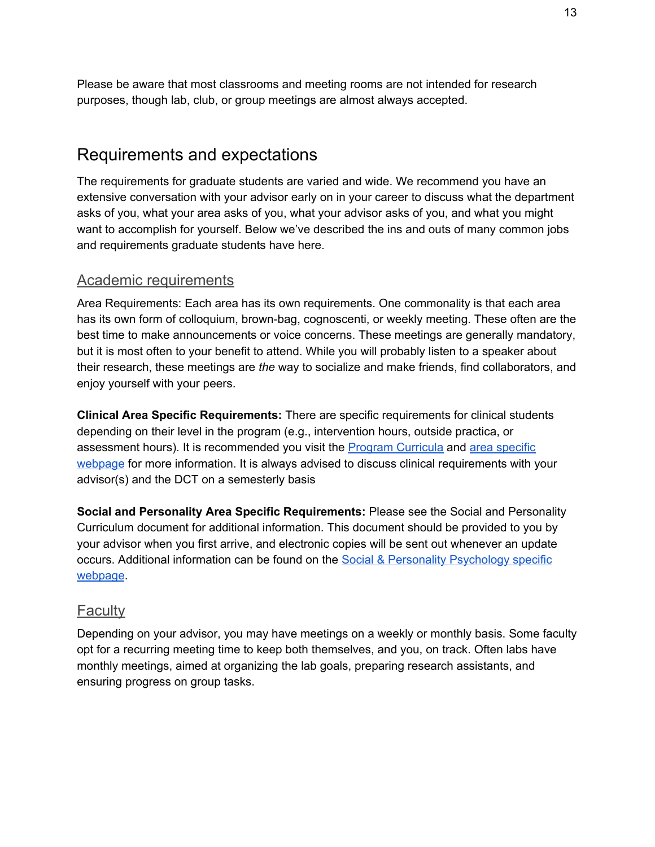Please be aware that most classrooms and meeting rooms are not intended for research purposes, though lab, club, or group meetings are almost always accepted.

# <span id="page-13-0"></span>Requirements and expectations

The requirements for graduate students are varied and wide. We recommend you have an extensive conversation with your advisor early on in your career to discuss what the department asks of you, what your area asks of you, what your advisor asks of you, and what you might want to accomplish for yourself. Below we've described the ins and outs of many common jobs and requirements graduate students have here.

## Academic requirements

Area Requirements: Each area has its own requirements. One commonality is that each area has its own form of colloquium, brown-bag, cognoscenti, or weekly meeting. These often are the best time to make announcements or voice concerns. These meetings are generally mandatory, but it is most often to your benefit to attend. While you will probably listen to a speaker about their research, these meetings are *the* way to socialize and make friends, find collaborators, and enjoy yourself with your peers.

**Clinical Area Specific Requirements:** There are specific requirements for clinical students depending on their level in the program (e.g., intervention hours, outside practica, or assessment hours). It is recommended you visit the Program [Curricula](https://liberalarts.tamu.edu/app/uploads/sites/2/2018/03/TAMU_Clinical_Psychology_Training_Curriculum.pdf) and area [specific](https://liberalarts.tamu.edu/psychology/graduate/clinical/) [webpage](https://liberalarts.tamu.edu/psychology/graduate/clinical/) for more information. It is always advised to discuss clinical requirements with your advisor(s) and the DCT on a semesterly basis

**Social and Personality Area Specific Requirements:** Please see the Social and Personality Curriculum document for additional information. This document should be provided to you by your advisor when you first arrive, and electronic copies will be sent out whenever an update occurs. Additional information can be found on the Social & Personality [Psychology](https://liberalarts.tamu.edu/psychology/graduate/spp/) specific [webpage](https://liberalarts.tamu.edu/psychology/graduate/spp/).

## **Faculty**

Depending on your advisor, you may have meetings on a weekly or monthly basis. Some faculty opt for a recurring meeting time to keep both themselves, and you, on track. Often labs have monthly meetings, aimed at organizing the lab goals, preparing research assistants, and ensuring progress on group tasks.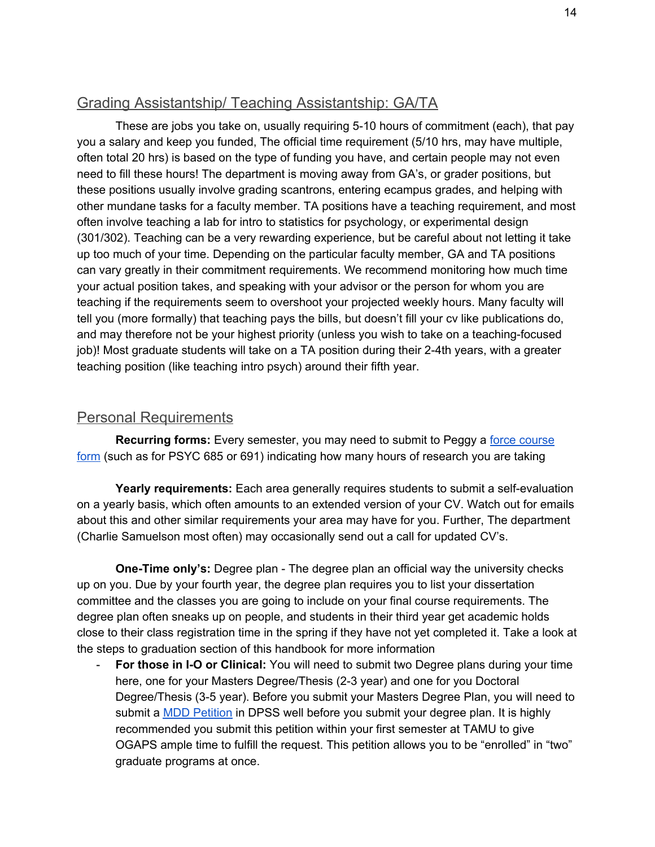### Grading Assistantship/ Teaching Assistantship: GA/TA

These are jobs you take on, usually requiring 5-10 hours of commitment (each), that pay you a salary and keep you funded, The official time requirement (5/10 hrs, may have multiple, often total 20 hrs) is based on the type of funding you have, and certain people may not even need to fill these hours! The department is moving away from GA's, or grader positions, but these positions usually involve grading scantrons, entering ecampus grades, and helping with other mundane tasks for a faculty member. TA positions have a teaching requirement, and most often involve teaching a lab for intro to statistics for psychology, or experimental design (301/302). Teaching can be a very rewarding experience, but be careful about not letting it take up too much of your time. Depending on the particular faculty member, GA and TA positions can vary greatly in their commitment requirements. We recommend monitoring how much time your actual position takes, and speaking with your advisor or the person for whom you are teaching if the requirements seem to overshoot your projected weekly hours. Many faculty will tell you (more formally) that teaching pays the bills, but doesn't fill your cv like publications do, and may therefore not be your highest priority (unless you wish to take on a teaching-focused job)! Most graduate students will take on a TA position during their 2-4th years, with a greater teaching position (like teaching intro psych) around their fifth year.

## Personal Requirements

**Recurring forms:** Every semester, you may need to submit to Peggy a force [course](https://liberalarts.tamu.edu/psychology/phd/forms/) [form](https://liberalarts.tamu.edu/psychology/phd/forms/) (such as for PSYC 685 or 691) indicating how many hours of research you are taking

**Yearly requirements:** Each area generally requires students to submit a self-evaluation on a yearly basis, which often amounts to an extended version of your CV. Watch out for emails about this and other similar requirements your area may have for you. Further, The department (Charlie Samuelson most often) may occasionally send out a call for updated CV's.

**One-Time only's:** Degree plan - The degree plan an official way the university checks up on you. Due by your fourth year, the degree plan requires you to list your dissertation committee and the classes you are going to include on your final course requirements. The degree plan often sneaks up on people, and students in their third year get academic holds close to their class registration time in the spring if they have not yet completed it. Take a look at the steps to graduation section of this handbook for more information

- **For those in I-O or Clinical:** You will need to submit two Degree plans during your time here, one for your Masters Degree/Thesis (2-3 year) and one for you Doctoral Degree/Thesis (3-5 year). Before you submit your Masters Degree Plan, you will need to submit a MDD [Petition](http://ogaps.tamu.edu/OGAPS/media/media-library/documents/Workshop%20and%20Tutorials/HOW-TO-FILE-MDD-PETITION-IN-DPSS1.pdf) in DPSS well before you submit your degree plan. It is highly recommended you submit this petition within your first semester at TAMU to give OGAPS ample time to fulfill the request. This petition allows you to be "enrolled" in "two" graduate programs at once.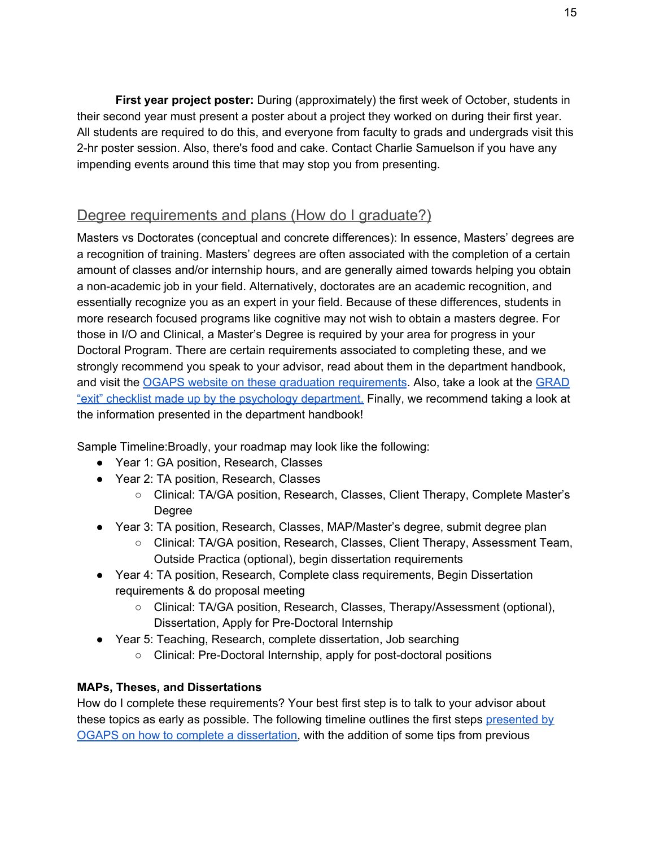**First year project poster:** During (approximately) the first week of October, students in their second year must present a poster about a project they worked on during their first year. All students are required to do this, and everyone from faculty to grads and undergrads visit this 2-hr poster session. Also, there's food and cake. Contact Charlie Samuelson if you have any impending events around this time that may stop you from presenting.

# Degree requirements and plans (How do I graduate?)

Masters vs Doctorates (conceptual and concrete differences): In essence, Masters' degrees are a recognition of training. Masters' degrees are often associated with the completion of a certain amount of classes and/or internship hours, and are generally aimed towards helping you obtain a non-academic job in your field. Alternatively, doctorates are an academic recognition, and essentially recognize you as an expert in your field. Because of these differences, students in more research focused programs like cognitive may not wish to obtain a masters degree. For those in I/O and Clinical, a Master's Degree is required by your area for progress in your Doctoral Program. There are certain requirements associated to completing these, and we strongly recommend you speak to your advisor, read about them in the department handbook, and visit the OGAPS website on these graduation [requirements](http://ogaps.tamu.edu/New-Current-Students/Graduation/Steps-to-Graduation). Also, take a look at the [GRAD](https://liberalarts.tamu.edu/psychology/phd/forms/) "exit" checklist made up by the psychology [department.](https://liberalarts.tamu.edu/psychology/phd/forms/) Finally, we recommend taking a look at the information presented in the department handbook!

Sample Timeline:Broadly, your roadmap may look like the following:

- Year 1: GA position, Research, Classes
- Year 2: TA position, Research, Classes
	- Clinical: TA/GA position, Research, Classes, Client Therapy, Complete Master's Degree
- Year 3: TA position, Research, Classes, MAP/Master's degree, submit degree plan
	- Clinical: TA/GA position, Research, Classes, Client Therapy, Assessment Team, Outside Practica (optional), begin dissertation requirements
- Year 4: TA position, Research, Complete class requirements, Begin Dissertation requirements & do proposal meeting
	- Clinical: TA/GA position, Research, Classes, Therapy/Assessment (optional), Dissertation, Apply for Pre-Doctoral Internship
- Year 5: Teaching, Research, complete dissertation, Job searching
	- Clinical: Pre-Doctoral Internship, apply for post-doctoral positions

### **MAPs, Theses, and Dissertations**

How do I complete these requirements? Your best first step is to talk to your advisor about these topics as early as possible. The following timeline outlines the first steps [presented](http://ogaps.tamu.edu/New-Current-Students/Getting-a-Degree/Doctoral-Degree-Requirements) by OGAPS on how to complete a [dissertation,](http://ogaps.tamu.edu/New-Current-Students/Getting-a-Degree/Doctoral-Degree-Requirements) with the addition of some tips from previous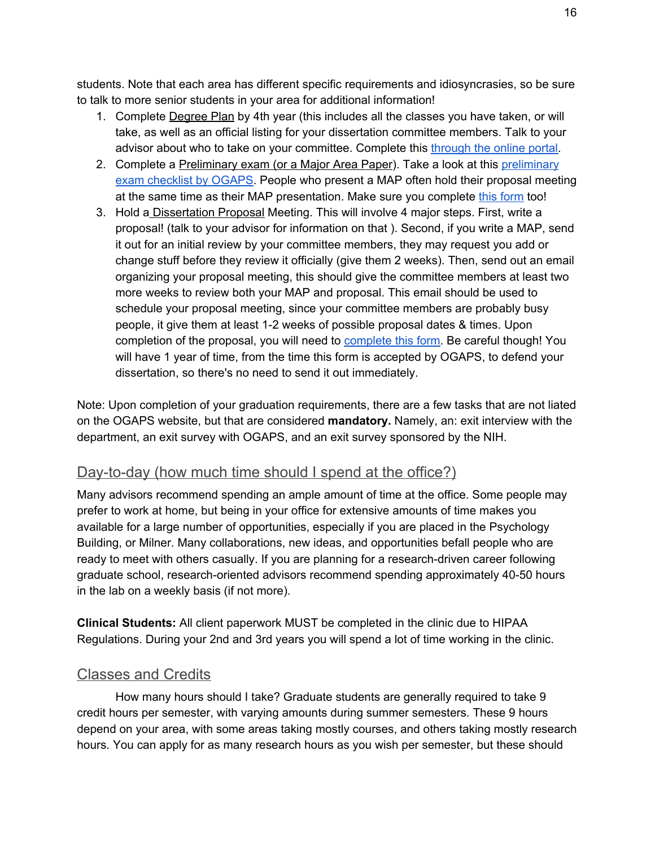students. Note that each area has different specific requirements and idiosyncrasies, so be sure to talk to more senior students in your area for additional information!

- 1. Complete Degree Plan by 4th year (this includes all the classes you have taken, or will take, as well as an official listing for your dissertation committee members. Talk to your advisor about who to take on your committee. Complete this [through](https://ogsdpss.tamu.edu/) the online portal.
- 2. Complete a Preliminary exam (or a Major Area Paper). Take a look at this [preliminary](http://ogaps.tamu.edu/New-Current-Students/Getting-a-Degree/Preliminary-Exam-Requirements) exam [checklist](http://ogaps.tamu.edu/New-Current-Students/Getting-a-Degree/Preliminary-Exam-Requirements) by OGAPS. People who present a MAP often hold their proposal meeting at the same time as their MAP presentation. Make sure you complete this [form](http://ogaps.tamu.edu/OGAPS/media/media-library/documents/Forms%20and%20Information/PRELIMINARY-EXAMINATION-CHECKLIST-11_6_17-fillable.pdf) too!
- 3. Hold a Dissertation Proposal Meeting. This will involve 4 major steps. First, write a proposal! (talk to your advisor for information on that ). Second, if you write a MAP, send it out for an initial review by your committee members, they may request you add or change stuff before they review it officially (give them 2 weeks). Then, send out an email organizing your proposal meeting, this should give the committee members at least two more weeks to review both your MAP and proposal. This email should be used to schedule your proposal meeting, since your committee members are probably busy people, it give them at least 1-2 weeks of possible proposal dates & times. Upon completion of the proposal, you will need to [complete](http://ogaps.tamu.edu/OGAPS/media/media-library/documents/Forms%20and%20Information/Proposal-Approval-Page-RK-Revision-3-Aug.pdf) this form. Be careful though! You will have 1 year of time, from the time this form is accepted by OGAPS, to defend your dissertation, so there's no need to send it out immediately.

Note: Upon completion of your graduation requirements, there are a few tasks that are not liated on the OGAPS website, but that are considered **mandatory.** Namely, an: exit interview with the department, an exit survey with OGAPS, and an exit survey sponsored by the NIH.

# Day-to-day (how much time should I spend at the office?)

Many advisors recommend spending an ample amount of time at the office. Some people may prefer to work at home, but being in your office for extensive amounts of time makes you available for a large number of opportunities, especially if you are placed in the Psychology Building, or Milner. Many collaborations, new ideas, and opportunities befall people who are ready to meet with others casually. If you are planning for a research-driven career following graduate school, research-oriented advisors recommend spending approximately 40-50 hours in the lab on a weekly basis (if not more).

**Clinical Students:** All client paperwork MUST be completed in the clinic due to HIPAA Regulations. During your 2nd and 3rd years you will spend a lot of time working in the clinic.

## Classes and Credits

How many hours should I take? Graduate students are generally required to take 9 credit hours per semester, with varying amounts during summer semesters. These 9 hours depend on your area, with some areas taking mostly courses, and others taking mostly research hours. You can apply for as many research hours as you wish per semester, but these should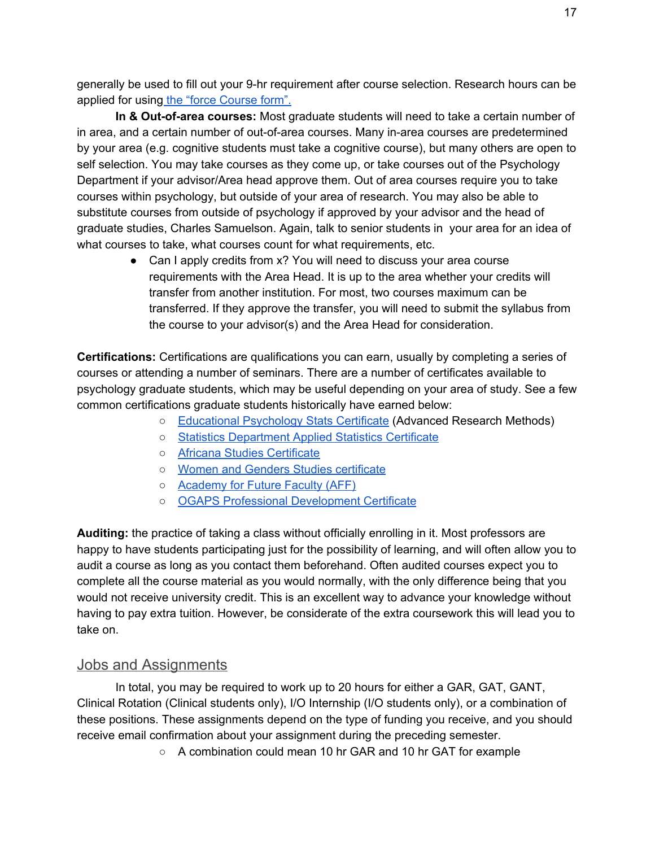generally be used to fill out your 9-hr requirement after course selection. Research hours can be applied for using the "force [Course](https://liberalarts.tamu.edu/psychology/phd/forms/) form".

**In & Out-of-area courses:** Most graduate students will need to take a certain number of in area, and a certain number of out-of-area courses. Many in-area courses are predetermined by your area (e.g. cognitive students must take a cognitive course), but many others are open to self selection. You may take courses as they come up, or take courses out of the Psychology Department if your advisor/Area head approve them. Out of area courses require you to take courses within psychology, but outside of your area of research. You may also be able to substitute courses from outside of psychology if approved by your advisor and the head of graduate studies, Charles Samuelson. Again, talk to senior students in your area for an idea of what courses to take, what courses count for what requirements, etc.

> ● Can I apply credits from x? You will need to discuss your area course requirements with the Area Head. It is up to the area whether your credits will transfer from another institution. For most, two courses maximum can be transferred. If they approve the transfer, you will need to submit the syllabus from the course to your advisor(s) and the Area Head for consideration.

**Certifications:** Certifications are qualifications you can earn, usually by completing a series of courses or attending a number of seminars. There are a number of certificates available to psychology graduate students, which may be useful depending on your area of study. See a few common certifications graduate students historically have earned below:

- [Educational](http://education.tamu.edu/advanced-research-methods-certificate) Psychology Stats Certificate (Advanced Research Methods)
- Statistics [Department](https://online.stat.tamu.edu/certificate-options/) Applied Statistics Certificate
- Africana Studies [Certificate](http://catalog.tamu.edu/graduate/colleges-schools-interdisciplinary/liberal-arts/interdepartmental-degree-programs/africana-studies-certificate/)
- Women and Genders Studies [certificate](http://catalog.tamu.edu/graduate/colleges-schools-interdisciplinary/liberal-arts/interdepartmental-degree-programs/womens-gender-studies-certificate/)
- [Academy](https://cte.tamu.edu/Graduate-Student-Support/Academy-of-Future-Faculty) for Future Faculty (AFF)
- OGAPS Professional [Development](https://ogaps.tamu.edu/Buttons/Professional-Development-Opportunities/G-R-A-D-Aggies/Certificate-(1)) Certificate

**Auditing:** the practice of taking a class without officially enrolling in it. Most professors are happy to have students participating just for the possibility of learning, and will often allow you to audit a course as long as you contact them beforehand. Often audited courses expect you to complete all the course material as you would normally, with the only difference being that you would not receive university credit. This is an excellent way to advance your knowledge without having to pay extra tuition. However, be considerate of the extra coursework this will lead you to take on.

## Jobs and Assignments

In total, you may be required to work up to 20 hours for either a GAR, GAT, GANT, Clinical Rotation (Clinical students only), I/O Internship (I/O students only), or a combination of these positions. These assignments depend on the type of funding you receive, and you should receive email confirmation about your assignment during the preceding semester.

○ A combination could mean 10 hr GAR and 10 hr GAT for example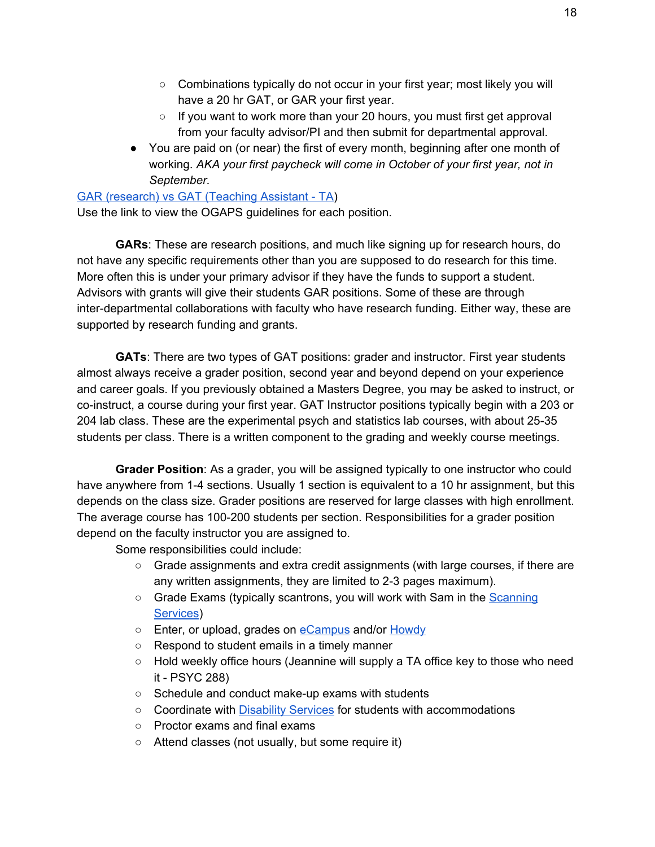- Combinations typically do not occur in your first year; most likely you will have a 20 hr GAT, or GAR your first year.
- If you want to work more than your 20 hours, you must first get approval from your faculty advisor/PI and then submit for departmental approval.
- You are paid on (or near) the first of every month, beginning after one month of working. *AKA your first paycheck will come in October of your first year, not in September.*

GAR [\(research\)](http://ogaps.tamu.edu/OGAPS/media/media-library/documents/Forms%20and%20Information/GA_employment-issues.pdf) vs GAT (Teaching Assistant - TA)

Use the link to view the OGAPS guidelines for each position.

**GARs**: These are research positions, and much like signing up for research hours, do not have any specific requirements other than you are supposed to do research for this time. More often this is under your primary advisor if they have the funds to support a student. Advisors with grants will give their students GAR positions. Some of these are through inter-departmental collaborations with faculty who have research funding. Either way, these are supported by research funding and grants.

**GATs**: There are two types of GAT positions: grader and instructor. First year students almost always receive a grader position, second year and beyond depend on your experience and career goals. If you previously obtained a Masters Degree, you may be asked to instruct, or co-instruct, a course during your first year. GAT Instructor positions typically begin with a 203 or 204 lab class. These are the experimental psych and statistics lab courses, with about 25-35 students per class. There is a written component to the grading and weekly course meetings.

**Grader Position**: As a grader, you will be assigned typically to one instructor who could have anywhere from 1-4 sections. Usually 1 section is equivalent to a 10 hr assignment, but this depends on the class size. Grader positions are reserved for large classes with high enrollment. The average course has 100-200 students per section. Responsibilities for a grader position depend on the faculty instructor you are assigned to.

Some responsibilities could include:

- $\circ$  Grade assignments and extra credit assignments (with large courses, if there are any written assignments, they are limited to 2-3 pages maximum).
- Grade Exams (typically scantrons, you will work with Sam in the [Scanning](http://assessment.tamu.edu/Scanning-Services) [Services](http://assessment.tamu.edu/Scanning-Services))
- Enter, or upload, grades on [eCampus](http://ecampus.tamu.edu/) and/or [Howdy](https://howdy.tamu.edu/)
- Respond to student emails in a timely manner
- Hold weekly office hours (Jeannine will supply a TA office key to those who need it - PSYC 288)
- Schedule and conduct make-up exams with students
- Coordinate with [Disability](http://disability.tamu.edu/) Services for students with accommodations
- Proctor exams and final exams
- Attend classes (not usually, but some require it)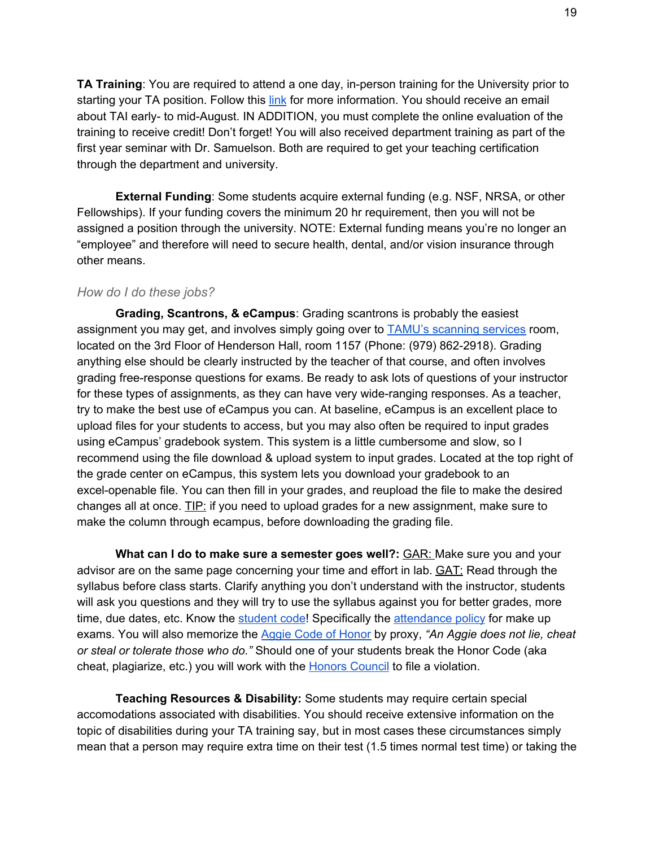**TA Training**: You are required to attend a one day, in-person training for the University prior to starting your TA position. Follow this [link](http://cte.tamu.edu/Featured-Programs/Teaching-Assistant-Institute) for more information. You should receive an email about TAI early- to mid-August. IN ADDITION, you must complete the online evaluation of the training to receive credit! Don't forget! You will also received department training as part of the first year seminar with Dr. Samuelson. Both are required to get your teaching certification through the department and university.

**External Funding**: Some students acquire external funding (e.g. NSF, NRSA, or other Fellowships). If your funding covers the minimum 20 hr requirement, then you will not be assigned a position through the university. NOTE: External funding means you're no longer an "employee" and therefore will need to secure health, dental, and/or vision insurance through other means.

#### *How do I do these jobs?*

**Grading, Scantrons, & eCampus**: Grading scantrons is probably the easiest assignment you may get, and involves simply going over to **TAMU's [scanning](http://assessment.tamu.edu/Scanning-Services) services** room, located on the 3rd Floor of Henderson Hall, room 1157 (Phone: (979) 862-2918). Grading anything else should be clearly instructed by the teacher of that course, and often involves grading free-response questions for exams. Be ready to ask lots of questions of your instructor for these types of assignments, as they can have very wide-ranging responses. As a teacher, try to make the best use of eCampus you can. At baseline, eCampus is an excellent place to upload files for your students to access, but you may also often be required to input grades using eCampus' gradebook system. This system is a little cumbersome and slow, so I recommend using the file download & upload system to input grades. Located at the top right of the grade center on eCampus, this system lets you download your gradebook to an excel-openable file. You can then fill in your grades, and reupload the file to make the desired changes all at once. TIP: if you need to upload grades for a new assignment, make sure to make the column through ecampus, before downloading the grading file.

**What can I do to make sure a semester goes well?:** GAR: Make sure you and your advisor are on the same page concerning your time and effort in lab. **GAT:** Read through the syllabus before class starts. Clarify anything you don't understand with the instructor, students will ask you questions and they will try to use the syllabus against you for better grades, more time, due dates, etc. Know the [student](http://student-rules.tamu.edu/) code! Specifically the [attendance](http://student-rules.tamu.edu/rule07) policy for make up exams. You will also memorize the Aggie Code of [Honor](http://student-rules.tamu.edu/aggiecode) by proxy, *"An Aggie does not lie, cheat or steal or tolerate those who do."* Should one of your students break the Honor Code (aka cheat, plagiarize, etc.) you will work with the Honors [Council](http://aggiehonor.tamu.edu/Rules-and-Procedures/Procedures/Aggie-Honor-System-Office) to file a violation.

**Teaching Resources & Disability:** Some students may require certain special accomodations associated with disabilities. You should receive extensive information on the topic of disabilities during your TA training say, but in most cases these circumstances simply mean that a person may require extra time on their test (1.5 times normal test time) or taking the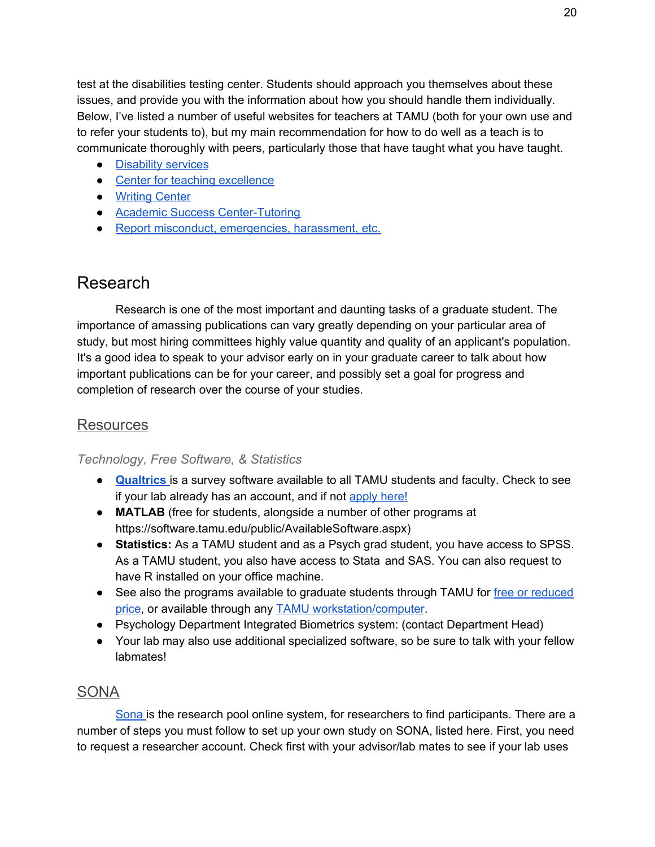test at the disabilities testing center. Students should approach you themselves about these issues, and provide you with the information about how you should handle them individually. Below, I've listed a number of useful websites for teachers at TAMU (both for your own use and to refer your students to), but my main recommendation for how to do well as a teach is to communicate thoroughly with peers, particularly those that have taught what you have taught.

- [Disability](http://disability.tamu.edu/) services
- Center for teaching [excellence](https://cte.tamu.edu/)
- [Writing](https://writingcenter.tamu.edu/) Center
- Academic Success [Center-Tutoring](http://successcenter.tamu.edu/Tutoring)
- Report misconduct, [emergencies,](https://urc.tamu.edu/how-to-report/) harassment, etc.

# <span id="page-20-0"></span>Research

Research is one of the most important and daunting tasks of a graduate student. The importance of amassing publications can vary greatly depending on your particular area of study, but most hiring committees highly value quantity and quality of an applicant's population. It's a good idea to speak to your advisor early on in your graduate career to talk about how important publications can be for your career, and possibly set a goal for progress and completion of research over the course of your studies.

# Resources

### *Technology, Free Software, & Statistics*

- **[Qualtrics](https://tamu.qualtrics.com/login?path=%2FControlPanel%2F&product=ControlPanel)** [i](https://tamu.qualtrics.com/login?path=%2FControlPanel%2F&product=ControlPanel)s a survey software available to all TAMU students and faculty. Check to see if your lab already has an account, and if not [apply](http://it.tamu.edu/Websites_Applications_and_Software/Applications_and_Resources/Qualtrics_Survey_Application/) here!
- **MATLAB** (free for students, alongside a number of other programs at https://software.tamu.edu/public/AvailableSoftware.aspx)
- **Statistics:** As a TAMU student and as a Psych grad student, you have access to SPSS. As a TAMU student, you also have access to Stata and SAS. You can also request to have R installed on your office machine.
- See also the programs available to graduate students through TAMU for free or [reduced](https://software.tamu.edu/secure/SelectProducts.aspx) [price,](https://software.tamu.edu/secure/SelectProducts.aspx) or available through any TAMU [workstation/computer.](https://wikis.arch.tamu.edu/display/HELPDESK/Student+Software+Availability)
- Psychology Department Integrated Biometrics system: (contact Department Head)
- Your lab may also use additional specialized software, so be sure to talk with your fellow labmates!

# SONA

[Sona](https://tamupsychology.sona-systems.com/Default.aspx?ReturnUrl=%2f) is the research pool online system, for researchers to find participants. There are a number of steps you must follow to set up your own study on SONA, listed here. First, you need to request a researcher account. Check first with your advisor/lab mates to see if your lab uses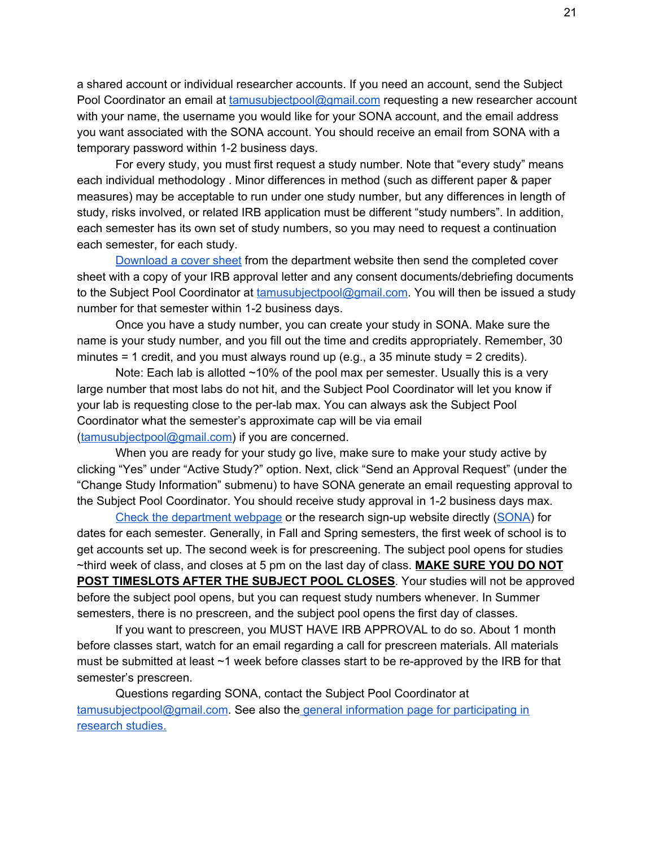a shared account or individual researcher accounts. If you need an account, send the Subject Pool Coordinator an email at [tamusubjectpool@gmail.com](mailto:tamusubjectpool@gmail.com) requesting a new researcher account with your name, the username you would like for your SONA account, and the email address you want associated with the SONA account. You should receive an email from SONA with a temporary password within 1-2 business days.

For every study, you must first request a study number. Note that "every study" means each individual methodology . Minor differences in method (such as different paper & paper measures) may be acceptable to run under one study number, but any differences in length of study, risks involved, or related IRB application must be different "study numbers". In addition, each semester has its own set of study numbers, so you may need to request a continuation each semester, for each study.

[Download](https://liberalarts.tamu.edu/psychology/undergraduate/ugparticipate/) a cover sheet from the department website then send the completed cover sheet with a copy of your IRB approval letter and any consent documents/debriefing documents to the Subject Pool Coordinator at [tamusubjectpool@gmail.com](mailto:tamusubjectpool@gmail.com). You will then be issued a study number for that semester within 1-2 business days.

Once you have a study number, you can create your study in SONA. Make sure the name is your study number, and you fill out the time and credits appropriately. Remember, 30 minutes = 1 credit, and you must always round up (e.g., a 35 minute study = 2 credits).

Note: Each lab is allotted ~10% of the pool max per semester. Usually this is a very large number that most labs do not hit, and the Subject Pool Coordinator will let you know if your lab is requesting close to the per-lab max. You can always ask the Subject Pool Coordinator what the semester's approximate cap will be via email ([tamusubjectpool@gmail.com\)](mailto:tamusubjectpool@gmail.com) if you are concerned.

When you are ready for your study go live, make sure to make your study active by clicking "Yes" under "Active Study?" option. Next, click "Send an Approval Request" (under the "Change Study Information" submenu) to have SONA generate an email requesting approval to the Subject Pool Coordinator. You should receive study approval in 1-2 business days max.

Check the [department](https://liberalarts.tamu.edu/psychology/undergraduate/ugparticipate/) webpage or the research sign-up website directly ([SONA\)](https://tamupsychology.sona-systems.com/Default.aspx?ReturnUrl=%2f) for dates for each semester. Generally, in Fall and Spring semesters, the first week of school is to get accounts set up. The second week is for prescreening. The subject pool opens for studies ~third week of class, and closes at 5 pm on the last day of class. **MAKE SURE YOU DO NOT POST TIMESLOTS AFTER THE SUBJECT POOL CLOSES**. Your studies will not be approved before the subject pool opens, but you can request study numbers whenever. In Summer semesters, there is no prescreen, and the subject pool opens the first day of classes.

If you want to prescreen, you MUST HAVE IRB APPROVAL to do so. About 1 month before classes start, watch for an email regarding a call for prescreen materials. All materials must be submitted at least ~1 week before classes start to be re-approved by the IRB for that semester's prescreen.

Questions regarding SONA, contact the Subject Pool Coordinator at [tamusubjectpool@gmail.com](mailto:tamusubjectpool@gmail.com). See also the general information page for [participating](https://liberalarts.tamu.edu/psychology/undergraduate/ugparticipate/) in [research](https://liberalarts.tamu.edu/psychology/undergraduate/ugparticipate/) studies.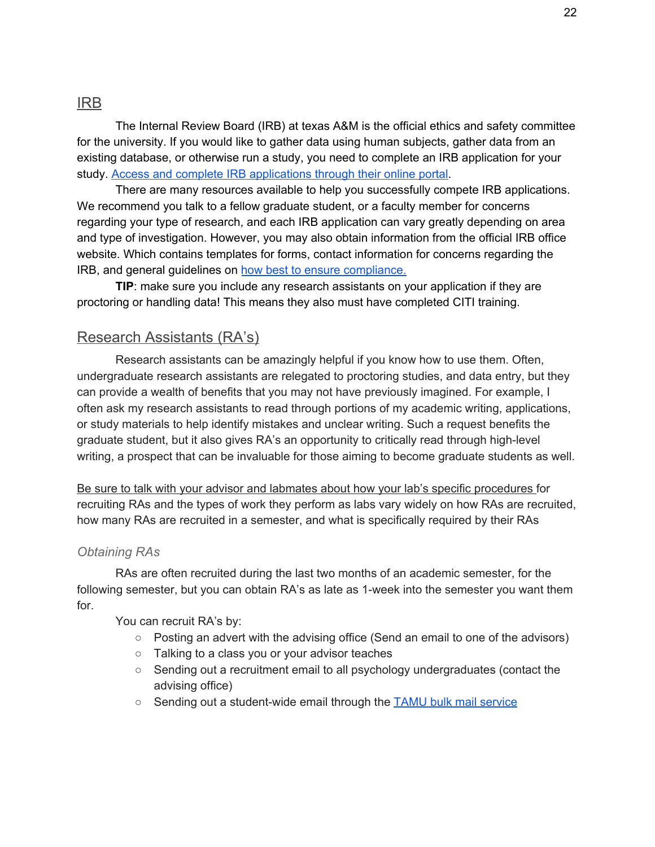### IRB

The Internal Review Board (IRB) at texas A&M is the official ethics and safety committee for the university. If you would like to gather data using human subjects, gather data from an existing database, or otherwise run a study, you need to complete an IRB application for your study. Access and complete IRB [applications](https://iris.tamu.edu/) through their online portal.

There are many resources available to help you successfully compete IRB applications. We recommend you talk to a fellow graduate student, or a faculty member for concerns regarding your type of research, and each IRB application can vary greatly depending on area and type of investigation. However, you may also obtain information from the official IRB office website. Which contains templates for forms, contact information for concerns regarding the IRB, and general guidelines on how best to ensure [compliance.](https://vpr.tamu.edu/compliance/rcc/irb)

**TIP**: make sure you include any research assistants on your application if they are proctoring or handling data! This means they also must have completed CITI training.

# Research Assistants (RA's)

Research assistants can be amazingly helpful if you know how to use them. Often, undergraduate research assistants are relegated to proctoring studies, and data entry, but they can provide a wealth of benefits that you may not have previously imagined. For example, I often ask my research assistants to read through portions of my academic writing, applications, or study materials to help identify mistakes and unclear writing. Such a request benefits the graduate student, but it also gives RA's an opportunity to critically read through high-level writing, a prospect that can be invaluable for those aiming to become graduate students as well.

Be sure to talk with your advisor and labmates about how your lab's specific procedures for recruiting RAs and the types of work they perform as labs vary widely on how RAs are recruited, how many RAs are recruited in a semester, and what is specifically required by their RAs

#### *Obtaining RAs*

RAs are often recruited during the last two months of an academic semester, for the following semester, but you can obtain RA's as late as 1-week into the semester you want them for.

You can recruit RA's by:

- $\circ$  Posting an advert with the advising office (Send an email to one of the advisors)
- Talking to a class you or your advisor teaches
- Sending out a recruitment email to all psychology undergraduates (contact the advising office)
- Sending out a student-wide email through the TAMU bulk mail [service](http://it.tamu.edu/Email_Messaging_and_Collaboration/Email_Tools/Bulkmail/index.php)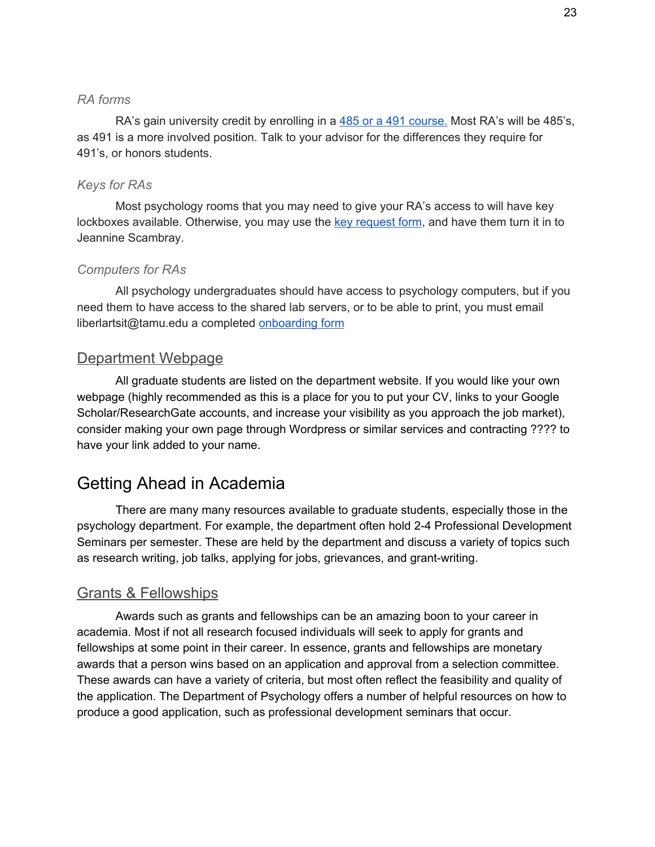#### *RA forms*

RA's gain university credit by enrolling in a 485 or a 491 [course.](https://liberalarts.tamu.edu/psychology/resources/teaching-support/) Most RA's will be 485's, as 491 is a more involved position. Talk to your advisor for the differences they require for 491's, or honors students.

#### *Keys for RAs*

Most psychology rooms that you may need to give your RA's access to will have key lockboxes available. Otherwise, you may use the key [request](https://liberalarts.tamu.edu/psychology/resources/department-policies-and-forms/) form, and have them turn it in to Jeannine Scambray.

#### *Computers for RAs*

All psychology undergraduates should have access to psychology computers, but if you need them to have access to the shared lab servers, or to be able to print, you must email liberlartsit@tamu.edu a completed [onboarding](https://drive.google.com/file/d/0Bx1PVniQPSEiSXNpa0xfaEE3SHhudnhzankwTnZhZXB0Y1Bj/view?usp=sharing) form

### Department Webpage

All graduate students are listed on the department website. If you would like your own webpage (highly recommended as this is a place for you to put your CV, links to your Google Scholar/ResearchGate accounts, and increase your visibility as you approach the job market), consider making your own page through Wordpress or similar services and contracting ???? to have your link added to your name.

# <span id="page-23-0"></span>Getting Ahead in Academia

There are many many resources available to graduate students, especially those in the psychology department. For example, the department often hold 2-4 Professional Development Seminars per semester. These are held by the department and discuss a variety of topics such as research writing, job talks, applying for jobs, grievances, and grant-writing.

#### Grants & Fellowships

Awards such as grants and fellowships can be an amazing boon to your career in academia. Most if not all research focused individuals will seek to apply for grants and fellowships at some point in their career. In essence, grants and fellowships are monetary awards that a person wins based on an application and approval from a selection committee. These awards can have a variety of criteria, but most often reflect the feasibility and quality of the application. The Department of Psychology offers a number of helpful resources on how to produce a good application, such as professional development seminars that occur.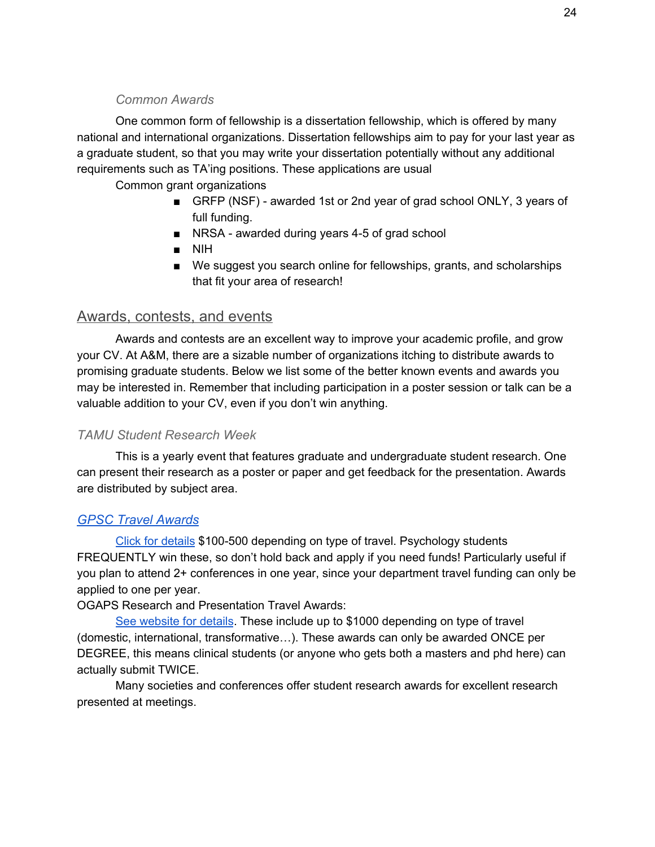#### *Common Awards*

One common form of fellowship is a dissertation fellowship, which is offered by many national and international organizations. Dissertation fellowships aim to pay for your last year as a graduate student, so that you may write your dissertation potentially without any additional requirements such as TA'ing positions. These applications are usual

Common grant organizations

- GRFP (NSF) awarded 1st or 2nd year of grad school ONLY, 3 years of full funding.
- NRSA awarded during years 4-5 of grad school
- NIH
- We suggest you search online for fellowships, grants, and scholarships that fit your area of research!

### Awards, contests, and events

Awards and contests are an excellent way to improve your academic profile, and grow your CV. At A&M, there are a sizable number of organizations itching to distribute awards to promising graduate students. Below we list some of the better known events and awards you may be interested in. Remember that including participation in a poster session or talk can be a valuable addition to your CV, even if you don't win anything.

### *TAMU Student Research Week*

This is a yearly event that features graduate and undergraduate student research. One can present their research as a poster or paper and get feedback for the presentation. Awards are distributed by subject area.

### *[GPSC Travel Awards](http://www.gpsctamu.org/travel-awards.htmlhttp://www.gpsctamu.org/travel-awards.html)*

Click for [details](http://www.gpsctamu.org/travel-awards.html) \$100-500 depending on type of travel. Psychology students FREQUENTLY win these, so don't hold back and apply if you need funds! Particularly useful if you plan to attend 2+ conferences in one year, since your department travel funding can only be applied to one per year.

OGAPS Research and Presentation Travel Awards:

See [website](http://ogaps.tamu.edu/Buttons/Funding-Opportunities/Research-and-Presentation-Grant-Guidelines) for details. These include up to \$1000 depending on type of travel (domestic, international, transformative…). These awards can only be awarded ONCE per DEGREE, this means clinical students (or anyone who gets both a masters and phd here) can actually submit TWICE.

Many societies and conferences offer student research awards for excellent research presented at meetings.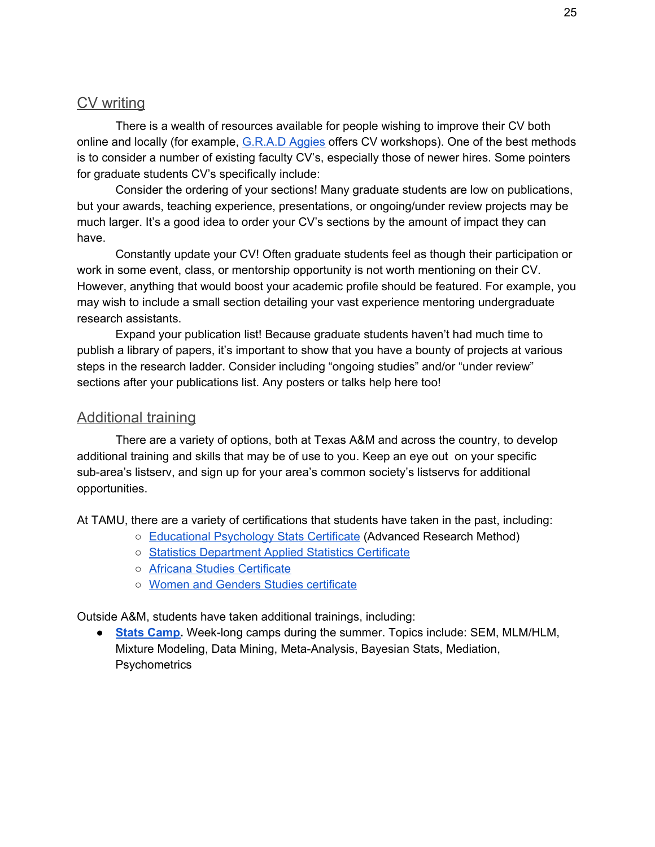### CV writing

There is a wealth of resources available for people wishing to improve their CV both online and locally (for example, [G.R.A.D](http://ogaps.tamu.edu/Buttons/Professional-Development-Opportunities/G-R-A-D-Aggies/Certificate) Aggies offers CV workshops). One of the best methods is to consider a number of existing faculty CV's, especially those of newer hires. Some pointers for graduate students CV's specifically include:

Consider the ordering of your sections! Many graduate students are low on publications, but your awards, teaching experience, presentations, or ongoing/under review projects may be much larger. It's a good idea to order your CV's sections by the amount of impact they can have.

Constantly update your CV! Often graduate students feel as though their participation or work in some event, class, or mentorship opportunity is not worth mentioning on their CV. However, anything that would boost your academic profile should be featured. For example, you may wish to include a small section detailing your vast experience mentoring undergraduate research assistants.

Expand your publication list! Because graduate students haven't had much time to publish a library of papers, it's important to show that you have a bounty of projects at various steps in the research ladder. Consider including "ongoing studies" and/or "under review" sections after your publications list. Any posters or talks help here too!

### Additional training

There are a variety of options, both at Texas A&M and across the country, to develop additional training and skills that may be of use to you. Keep an eye out on your specific sub-area's listserv, and sign up for your area's common society's listservs for additional opportunities.

At TAMU, there are a variety of certifications that students have taken in the past, including:

- [Educational](http://education.tamu.edu/advanced-research-methods-certificate) Psychology Stats Certificate (Advanced Research Method)
- Statistics [Department](https://online.stat.tamu.edu/certificate-options/) Applied Statistics Certificate
- Africana Studies [Certificate](http://catalog.tamu.edu/graduate/colleges-schools-interdisciplinary/liberal-arts/interdepartmental-degree-programs/africana-studies-certificate/)
- Women and Genders Studies [certificate](http://catalog.tamu.edu/graduate/colleges-schools-interdisciplinary/liberal-arts/interdepartmental-degree-programs/womens-gender-studies-certificate/)

Outside A&M, students have taken additional trainings, including:

**● Stats [Camp](http://www.statscamp.org/).** Week-long camps during the summer. Topics include: SEM, MLM/HLM, Mixture Modeling, Data Mining, Meta-Analysis, Bayesian Stats, Mediation, **Psychometrics**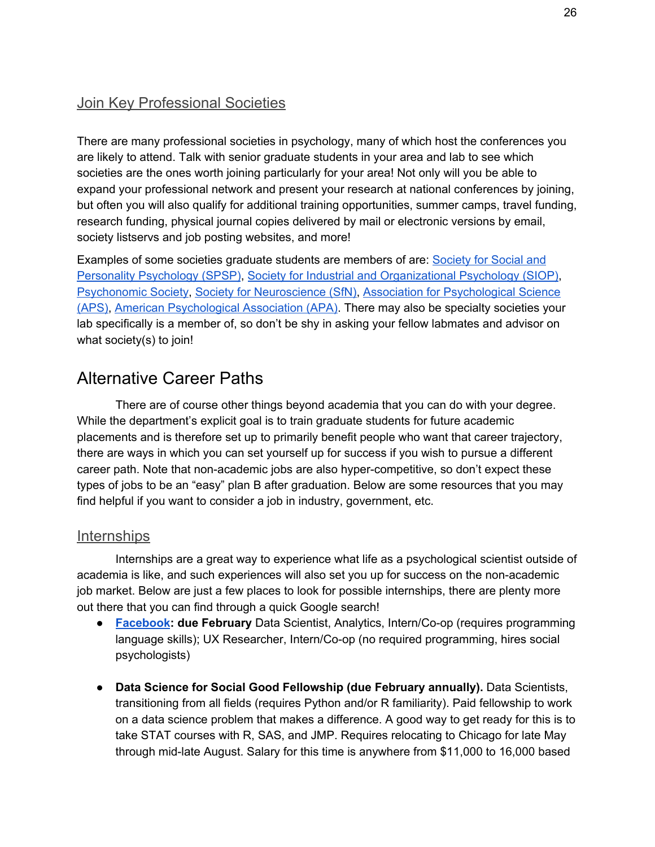## Join Key Professional Societies

There are many professional societies in psychology, many of which host the conferences you are likely to attend. Talk with senior graduate students in your area and lab to see which societies are the ones worth joining particularly for your area! Not only will you be able to expand your professional network and present your research at national conferences by joining, but often you will also qualify for additional training opportunities, summer camps, travel funding, research funding, physical journal copies delivered by mail or electronic versions by email, society listservs and job posting websites, and more!

Examples of some societies graduate students are members of are: [Society](http://www.spsp.org/) for Social and Personality [Psychology](http://www.spsp.org/) (SPSP), Society for Industrial and [Organizational](https://www.siop.org/) Psychology (SIOP), [Psychonomic](http://www.psychonomic.org/) Society, Society for [Neuroscience](https://www.sfn.org/) (SfN), Association for [Psychological](https://www.psychologicalscience.org/) Science [\(APS\)](https://www.psychologicalscience.org/), American [Psychological](http://www.apa.org/) Association (APA). There may also be specialty societies your lab specifically is a member of, so don't be shy in asking your fellow labmates and advisor on what society(s) to join!

# Alternative Career Paths

There are of course other things beyond academia that you can do with your degree. While the department's explicit goal is to train graduate students for future academic placements and is therefore set up to primarily benefit people who want that career trajectory, there are ways in which you can set yourself up for success if you wish to pursue a different career path. Note that non-academic jobs are also hyper-competitive, so don't expect these types of jobs to be an "easy" plan B after graduation. Below are some resources that you may find helpful if you want to consider a job in industry, government, etc.

### **Internships**

Internships are a great way to experience what life as a psychological scientist outside of academia is like, and such experiences will also set you up for success on the non-academic job market. Below are just a few places to look for possible internships, there are plenty more out there that you can find through a quick Google search!

- **● [Facebook](https://www.facebook.com/careers/university): due February** Data Scientist, Analytics, Intern/Co-op (requires programming language skills); UX Researcher, Intern/Co-op (no required programming, hires social psychologists)
- **● Data Science for Social Good Fellowship (due February annually).** Data Scientists, transitioning from all fields (requires Python and/or R familiarity). Paid fellowship to work on a data science problem that makes a difference. A good way to get ready for this is to take STAT courses with R, SAS, and JMP. Requires relocating to Chicago for late May through mid-late August. Salary for this time is anywhere from \$11,000 to 16,000 based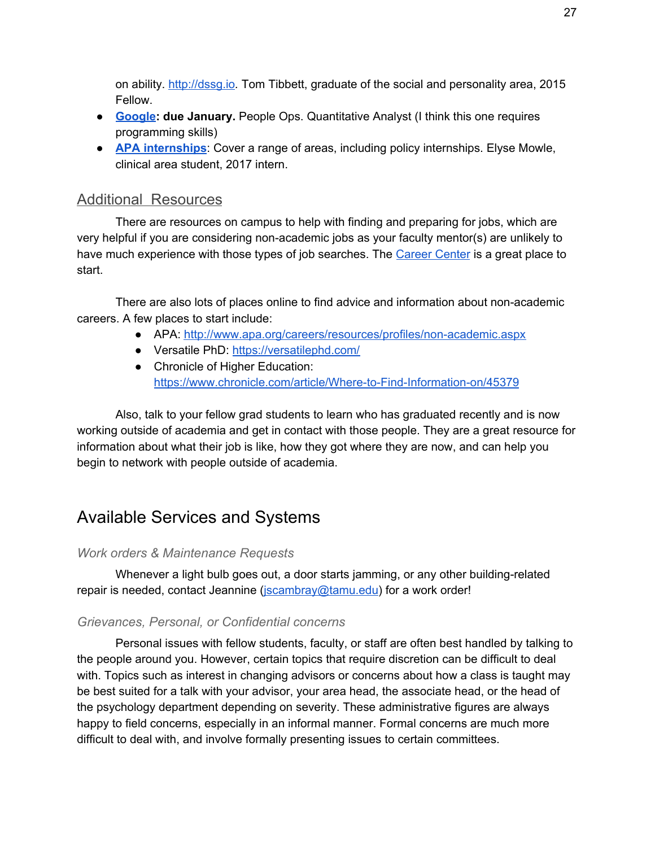on ability. [http://dssg.io](http://dssg.io/)*.* Tom Tibbett, graduate of the social and personality area, 2015 Fellow.

- **● [Google](https://www.google.com/about/careers/search#t=sq&q=j&li=10&st=10&jed=DOCTORATE&je=INTERN&): due January.** People Ops. Quantitative Analyst (I think this one requires programming skills)
- **APA [internships](http://www.apa.org/careers/internships/office-descriptions.aspx)**: Cover a range of areas, including policy internships. Elyse Mowle, clinical area student, 2017 intern.

## Additional Resources

There are resources on campus to help with finding and preparing for jobs, which are very helpful if you are considering non-academic jobs as your faculty mentor(s) are unlikely to have much experience with those types of job searches. The [Career](https://careercenter.tamu.edu/current-students) Center is a great place to start.

There are also lots of places online to find advice and information about non-academic careers. A few places to start include:

- APA: <http://www.apa.org/careers/resources/profiles/non-academic.aspx>
- Versatile PhD: <https://versatilephd.com/>
- Chronicle of Higher Education: <https://www.chronicle.com/article/Where-to-Find-Information-on/45379>

Also, talk to your fellow grad students to learn who has graduated recently and is now working outside of academia and get in contact with those people. They are a great resource for information about what their job is like, how they got where they are now, and can help you begin to network with people outside of academia.

# <span id="page-27-0"></span>Available Services and Systems

### *Work orders & Maintenance Requests*

Whenever a light bulb goes out, a door starts jamming, or any other building-related repair is needed, contact Jeannine ([jscambray@tamu.edu\)](mailto:jscambray@tamu.edu) for a work order!

### *Grievances, Personal, or Confidential concerns*

Personal issues with fellow students, faculty, or staff are often best handled by talking to the people around you. However, certain topics that require discretion can be difficult to deal with. Topics such as interest in changing advisors or concerns about how a class is taught may be best suited for a talk with your advisor, your area head, the associate head, or the head of the psychology department depending on severity. These administrative figures are always happy to field concerns, especially in an informal manner. Formal concerns are much more difficult to deal with, and involve formally presenting issues to certain committees.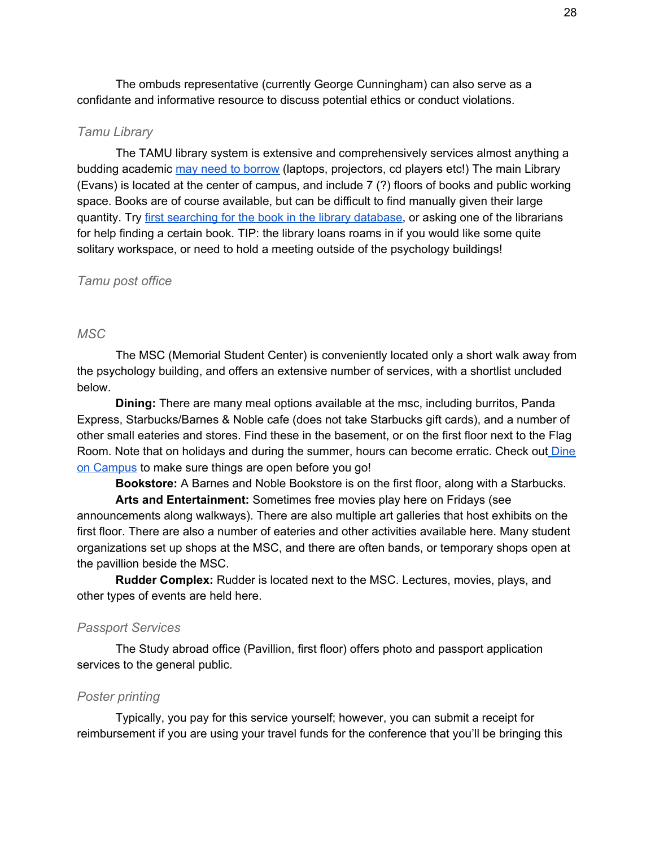The ombuds representative (currently George Cunningham) can also serve as a confidante and informative resource to discuss potential ethics or conduct violations.

#### *Tamu Library*

The TAMU library system is extensive and comprehensively services almost anything a budding academic may need to [borrow](https://library.tamu.edu/services/index.html) (laptops, projectors, cd players etc!) The main Library (Evans) is located at the center of campus, and include 7 (?) floors of books and public working space. Books are of course available, but can be difficult to find manually given their large quantity. Try first [searching](https://library.tamu.edu/) for the book in the library database, or asking one of the librarians for help finding a certain book. TIP: the library loans roams in if you would like some quite solitary workspace, or need to hold a meeting outside of the psychology buildings!

#### *Tamu post office*

#### *MSC*

The MSC (Memorial Student Center) is conveniently located only a short walk away from the psychology building, and offers an extensive number of services, with a shortlist uncluded below.

**Dining:** There are many meal options available at the msc, including burritos, Panda Express, Starbucks/Barnes & Noble cafe (does not take Starbucks gift cards), and a number of other small eateries and stores. Find these in the basement, or on the first floor next to the Flag Room. Note that on holidays and during the summer, hours can become erratic. Check out [Dine](https://www.dineoncampus.com/tamu/) on [Campus](https://www.dineoncampus.com/tamu/) to make sure things are open before you go!

**Bookstore:** A Barnes and Noble Bookstore is on the first floor, along with a Starbucks.

**Arts and Entertainment:** Sometimes free movies play here on Fridays (see announcements along walkways). There are also multiple art galleries that host exhibits on the first floor. There are also a number of eateries and other activities available here. Many student organizations set up shops at the MSC, and there are often bands, or temporary shops open at the pavillion beside the MSC.

**Rudder Complex:** Rudder is located next to the MSC. Lectures, movies, plays, and other types of events are held here.

#### *Passport Services*

The Study abroad office (Pavillion, first floor) offers photo and passport application services to the general public.

#### *Poster printing*

Typically, you pay for this service yourself; however, you can submit a receipt for reimbursement if you are using your travel funds for the conference that you'll be bringing this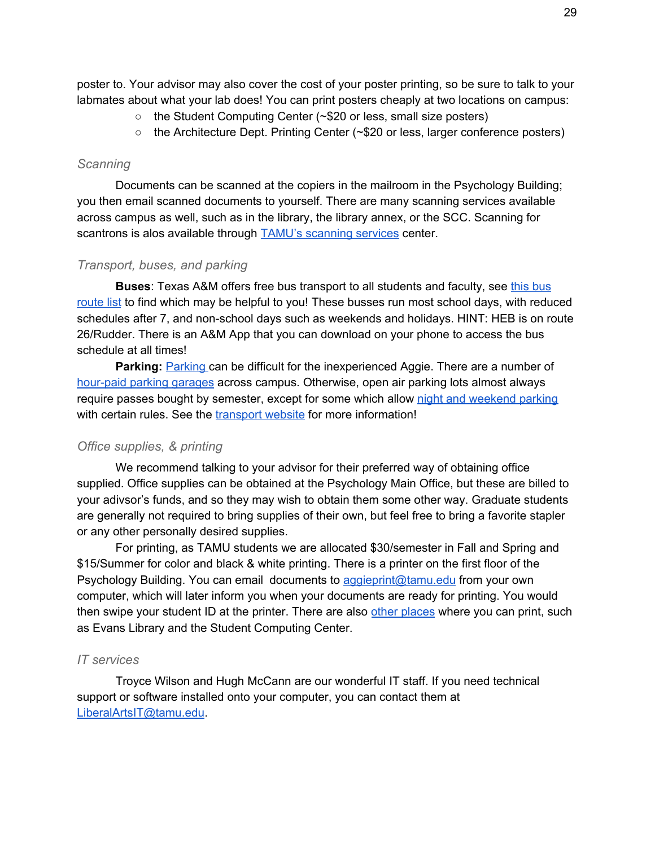poster to. Your advisor may also cover the cost of your poster printing, so be sure to talk to your labmates about what your lab does! You can print posters cheaply at two locations on campus:

- the Student Computing Center (~\$20 or less, small size posters)
- the Architecture Dept. Printing Center (~\$20 or less, larger conference posters)

#### *Scanning*

Documents can be scanned at the copiers in the mailroom in the Psychology Building; you then email scanned documents to yourself. There are many scanning services available across campus as well, such as in the library, the library annex, or the SCC. Scanning for scantrons is alos available through **TAMU's [scanning](http://assessment.tamu.edu/Scanning-Services) services** center.

#### *Transport, buses, and parking*

**Buses:** Texas A&M offers free [bus](http://transport.tamu.edu/busroutes/) transport to all students and faculty, see this bus [route](http://transport.tamu.edu/busroutes/) list to find which may be helpful to you! These busses run most school days, with reduced schedules after 7, and non-school days such as weekends and holidays. HINT: HEB is on route 26/Rudder. There is an A&M App that you can download on your phone to access the bus schedule at all times!

**Parking:** [Parking](http://transport.tamu.edu/parking.aspx) can be difficult for the inexperienced Aggie. There are a number of [hour-paid](http://transportmap.tamu.edu/parkingmap/tsmap.htm?map=vis) parking garages across campus. Otherwise, open air parking lots almost always require passes bought by semester, except for some which allow night and [weekend](http://transportmap.tamu.edu/parkingmap/tsmap.htm?map=naw) parking with certain rules. See the transport website for more information!

#### *Office supplies, & printing*

We recommend talking to your advisor for their preferred way of obtaining office supplied. Office supplies can be obtained at the Psychology Main Office, but these are billed to your adivsor's funds, and so they may wish to obtain them some other way. Graduate students are generally not required to bring supplies of their own, but feel free to bring a favorite stapler or any other personally desired supplies.

For printing, as TAMU students we are allocated \$30/semester in Fall and Spring and \$15/Summer for color and black & white printing. There is a printer on the first floor of the Psychology Building. You can email documents to [aggieprint@tamu.edu](mailto:aggieprint@tamu.edu) from your own computer, which will later inform you when your documents are ready for printing. You would then swipe your student ID at the printer. There are also other [places](http://oal.tamu.edu/Printing#0-PrintKiosk) where you can print, such as Evans Library and the Student Computing Center.

#### *IT services*

Troyce Wilson and Hugh McCann are our wonderful IT staff. If you need technical support or software installed onto your computer, you can contact them at [LiberalArtsIT@tamu.edu](mailto:LiberalArtsIT@tamu.edu).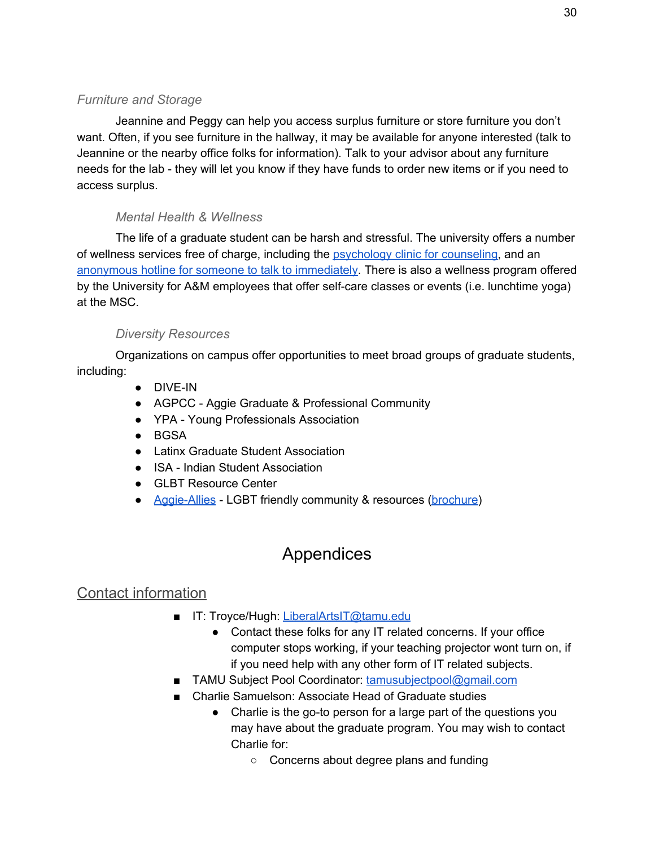### *Furniture and Storage*

Jeannine and Peggy can help you access surplus furniture or store furniture you don't want. Often, if you see furniture in the hallway, it may be available for anyone interested (talk to Jeannine or the nearby office folks for information). Talk to your advisor about any furniture needs for the lab - they will let you know if they have funds to order new items or if you need to access surplus.

### *Mental Health & Wellness*

The life of a graduate student can be harsh and stressful. The university offers a number of wellness services free of charge, including the [psychology](https://liberalarts.tamu.edu/psychology/about/psychology-clinic/) clinic for counseling, and an anonymous hotline for someone to talk to [immediately](https://scs.tamu.edu/HelpLine). There is also a wellness program offered by the University for A&M employees that offer self-care classes or events (i.e. lunchtime yoga) at the MSC.

### *Diversity Resources*

Organizations on campus offer opportunities to meet broad groups of graduate students, including:

- DIVE-IN
- AGPCC Aggie Graduate & Professional Community
- YPA Young Professionals Association
- BGSA
- Latinx Graduate Student Association
- ISA Indian Student Association
- GLBT Resource Center
- [Aggie-Allies](https://allies.tamu.edu/) LGBT friendly community & resources ([brochure](https://drive.google.com/open?id=0Bx1PVniQPSEidGphRUpYVGg4RFFENGFBU2NVOFVqQjg2Q3pn))

# Appendices

### Contact information

- IT: Troyce/Hugh: [LiberalArtsIT@tamu.edu](mailto:LiberalArtsIT@tamu.edu)
	- Contact these folks for any IT related concerns. If your office computer stops working, if your teaching projector wont turn on, if if you need help with any other form of IT related subjects.
- TAMU Subject Pool Coordinator: [tamusubjectpool@gmail.com](mailto:tamusubjectpool@gmail.com)
- Charlie Samuelson: Associate Head of Graduate studies
	- Charlie is the go-to person for a large part of the questions you may have about the graduate program. You may wish to contact Charlie for:
		- Concerns about degree plans and funding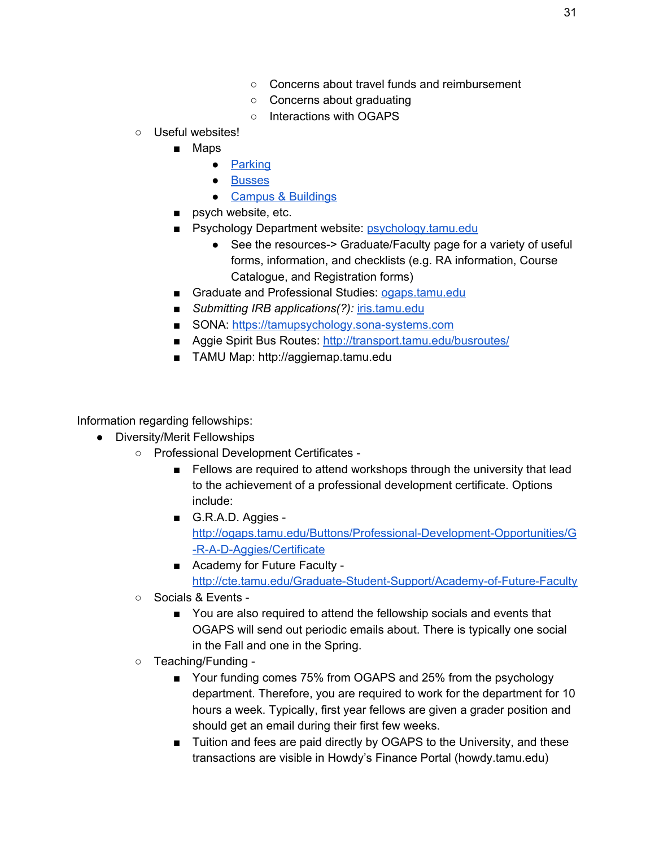- Concerns about travel funds and reimbursement
- Concerns about graduating
- Interactions with OGAPS
- Useful websites!
	- Maps
		- [Parking](http://transportmap.tamu.edu/parkingmap/)
		- [Busses](http://transport.tamu.edu/busroutes/)
		- Campus & [Buildings](https://aggiemap.tamu.edu/)
	- psych website, etc.
	- Psychology Department website: [psychology.tamu.edu](https://psychology.tamu.edu/)
		- See the resources-> Graduate/Faculty page for a variety of useful forms, information, and checklists (e.g. RA information, Course Catalogue, and Registration forms)
	- Graduate and Professional Studies: [ogaps.tamu.edu](http://ogaps.tamu.edu/)
	- *Submitting IRB applications(?):* [iris.tamu.edu](https://iris.tamu.edu/)
	- SONA: [https://tamupsychology.sona-systems.com](https://tamupsychology.sona-systems.com/)
	- Aggie Spirit Bus Routes: <http://transport.tamu.edu/busroutes/>
	- TAMU Map: http://aggiemap.tamu.edu

Information regarding fellowships:

- Diversity/Merit Fellowships
	- Professional Development Certificates
		- Fellows are required to attend workshops through the university that lead to the achievement of a professional development certificate. Options include:
		- G.R.A.D. Aggies [http://ogaps.tamu.edu/Buttons/Professional-Development-Opportunities/G](http://ogaps.tamu.edu/Buttons/Professional-Development-Opportunities/G-R-A-D-Aggies/Certificate) [-R-A-D-Aggies/Certificate](http://ogaps.tamu.edu/Buttons/Professional-Development-Opportunities/G-R-A-D-Aggies/Certificate)
		- Academy for Future Faculty <http://cte.tamu.edu/Graduate-Student-Support/Academy-of-Future-Faculty>
		- Socials & Events -
			- You are also required to attend the fellowship socials and events that OGAPS will send out periodic emails about. There is typically one social in the Fall and one in the Spring.
		- Teaching/Funding
			- Your funding comes 75% from OGAPS and 25% from the psychology department. Therefore, you are required to work for the department for 10 hours a week. Typically, first year fellows are given a grader position and should get an email during their first few weeks.
			- Tuition and fees are paid directly by OGAPS to the University, and these transactions are visible in Howdy's Finance Portal (howdy.tamu.edu)